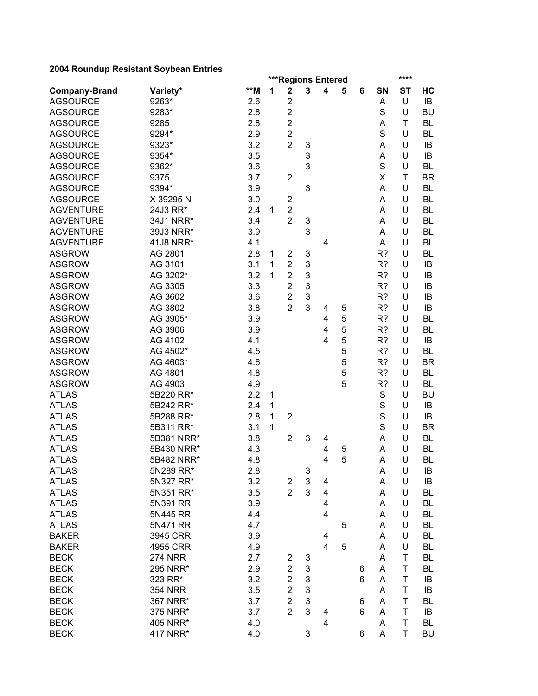|                      |                | ***Regions Entered<br>**** |   |                  |   |                |   |   |    |             |           |
|----------------------|----------------|----------------------------|---|------------------|---|----------------|---|---|----|-------------|-----------|
| <b>Company-Brand</b> | Variety*       | **M                        | 1 | $\mathbf 2$      | 3 | 4              | 5 | 6 | SN | <b>ST</b>   | HC        |
| <b>AGSOURCE</b>      | 9263*          | 2.6                        |   | $\overline{c}$   |   |                |   |   | А  | U           | IB        |
| <b>AGSOURCE</b>      | 9283*          | 2.8                        |   | $\overline{c}$   |   |                |   |   | S  | U           | <b>BU</b> |
| <b>AGSOURCE</b>      | 9285           | 2.8                        |   | $\overline{2}$   |   |                |   |   | А  | T           | <b>BL</b> |
| <b>AGSOURCE</b>      | 9294*          | 2.9                        |   | $\overline{2}$   |   |                |   |   | S  | U           | <b>BL</b> |
| <b>AGSOURCE</b>      | 9323*          | 3.2                        |   | $\overline{2}$   | 3 |                |   |   | А  | U           | IB        |
| <b>AGSOURCE</b>      | 9354*          | 3.5                        |   |                  | 3 |                |   |   | A  | U           | IB        |
| <b>AGSOURCE</b>      | 9362*          | 3.6                        |   |                  | 3 |                |   |   | S  | U           | <b>BL</b> |
| <b>AGSOURCE</b>      | 9375           | 3.7                        |   | $\boldsymbol{2}$ |   |                |   |   | X  | T           | <b>BR</b> |
| <b>AGSOURCE</b>      | 9394*          | 3.9                        |   |                  | 3 |                |   |   | А  | U           | <b>BL</b> |
| <b>AGSOURCE</b>      | X 39295 N      | 3.0                        |   | 2                |   |                |   |   | А  | U           | <b>BL</b> |
| <b>AGVENTURE</b>     | 24J3 RR*       | 2.4                        | 1 | $\overline{2}$   |   |                |   |   | А  | U           | <b>BL</b> |
| <b>AGVENTURE</b>     | 34J1 NRR*      | 3.4                        |   | $\overline{2}$   | 3 |                |   |   | A  | U           | <b>BL</b> |
| <b>AGVENTURE</b>     | 39J3 NRR*      | 3.9                        |   |                  | 3 |                |   |   | Α  | U           | <b>BL</b> |
| <b>AGVENTURE</b>     | 41J8 NRR*      | 4.1                        |   |                  |   | 4              |   |   | А  | U           | <b>BL</b> |
| <b>ASGROW</b>        | AG 2801        | 2.8                        | 1 | 2                | 3 |                |   |   | R? | U           | <b>BL</b> |
| <b>ASGROW</b>        | AG 3101        | 3.1                        | 1 | $\overline{c}$   | 3 |                |   |   | R? | U           | IB        |
| <b>ASGROW</b>        | AG 3202*       | 3.2                        | 1 | $\overline{2}$   | 3 |                |   |   | R? | U           | IB        |
| <b>ASGROW</b>        | AG 3305        | 3.3                        |   | $\overline{2}$   | 3 |                |   |   | R? | U           | IB        |
| <b>ASGROW</b>        | AG 3602        | 3.6                        |   | $\overline{2}$   | 3 |                |   |   | R? | U           | IB        |
| <b>ASGROW</b>        | AG 3802        | 3.8                        |   | $\overline{2}$   | 3 | 4              | 5 |   | R? | U           | IB        |
| <b>ASGROW</b>        | AG 3905*       | 3.9                        |   |                  |   | 4              | 5 |   | R? | U           | <b>BL</b> |
| <b>ASGROW</b>        | AG 3906        | 3.9                        |   |                  |   | 4              | 5 |   | R? | U           | <b>BL</b> |
| <b>ASGROW</b>        | AG 4102        | 4.1                        |   |                  |   | 4              | 5 |   | R? | U           | IB        |
| <b>ASGROW</b>        | AG 4502*       | 4.5                        |   |                  |   |                | 5 |   | R? | U           | BL        |
| <b>ASGROW</b>        | AG 4603*       | 4.6                        |   |                  |   |                | 5 |   | R? | U           | <b>BR</b> |
| <b>ASGROW</b>        | AG 4801        | 4.8                        |   |                  |   |                | 5 |   | R? | U           | <b>BL</b> |
| <b>ASGROW</b>        | AG 4903        | 4.9                        |   |                  |   |                | 5 |   | R? | U           | <b>BL</b> |
| <b>ATLAS</b>         | 5B220 RR*      | 2.2                        | 1 |                  |   |                |   |   | S  | U           | <b>BU</b> |
| <b>ATLAS</b>         | 5B242 RR*      | 2.4                        | 1 |                  |   |                |   |   | S  | U           | IB        |
| <b>ATLAS</b>         | 5B288 RR*      | 2.8                        | 1 | $\overline{2}$   |   |                |   |   | S  | U           | IB        |
| <b>ATLAS</b>         | 5B311 RR*      | 3.1                        | 1 |                  |   |                |   |   | S  | U           | <b>BR</b> |
| <b>ATLAS</b>         | 5B381 NRR*     | 3.8                        |   | $\overline{2}$   | 3 | 4              |   |   | A  | U           | <b>BL</b> |
| <b>ATLAS</b>         | 5B430 NRR*     | 4.3                        |   |                  |   | 4              | 5 |   | A  | U           | <b>BL</b> |
| <b>ATLAS</b>         | 5B482 NRR*     | 4.8                        |   |                  |   | 4              | 5 |   | A  | U           | <b>BL</b> |
| <b>ATLAS</b>         | 5N289 RR*      | 2.8                        |   |                  | 3 |                |   |   | A  | U           | IB        |
| <b>ATLAS</b>         | 5N327 RR*      | 3.2                        |   | $\overline{c}$   | 3 | 4              |   |   | Α  | U           | IB        |
| <b>ATLAS</b>         | 5N351 RR*      | 3.5                        |   | $\overline{2}$   | 3 | 4              |   |   | Α  | U           | BL        |
| <b>ATLAS</b>         | 5N391 RR       | 3.9                        |   |                  |   | 4              |   |   | A  | U           | <b>BL</b> |
| <b>ATLAS</b>         | 5N445 RR       | 4.4                        |   |                  |   | 4              |   |   | А  | U           | <b>BL</b> |
| <b>ATLAS</b>         | 5N471 RR       | 4.7                        |   |                  |   |                | 5 |   | A  | U           | <b>BL</b> |
| <b>BAKER</b>         | 3945 CRR       | 3.9                        |   |                  |   | 4              |   |   | A  | U           | <b>BL</b> |
| <b>BAKER</b>         | 4955 CRR       | 4.9                        |   |                  |   | $\overline{4}$ | 5 |   | A  | U           | <b>BL</b> |
| <b>BECK</b>          | <b>274 NRR</b> | 2.7                        |   | 2                | 3 |                |   |   | A  | T           | <b>BL</b> |
| <b>BECK</b>          | 295 NRR*       | 2.9                        |   | $\overline{2}$   | 3 |                |   | 6 | A  | T           | <b>BL</b> |
| <b>BECK</b>          | 323 RR*        | 3.2                        |   | $\overline{2}$   | 3 |                |   | 6 | A  | T           | IB        |
| <b>BECK</b>          | <b>354 NRR</b> | 3.5                        |   | $\overline{2}$   | 3 |                |   |   | Α  | T           | IB        |
| <b>BECK</b>          | 367 NRR*       | 3.7                        |   | $\overline{c}$   | 3 |                |   | 6 | A  | T           | <b>BL</b> |
| <b>BECK</b>          | 375 NRR*       | 3.7                        |   | $\overline{2}$   | 3 | 4              |   | 6 | A  | T           | IB        |
| <b>BECK</b>          | 405 NRR*       | 4.0                        |   |                  |   | 4              |   |   | A  | $\mathsf T$ | BL        |
| <b>BECK</b>          | 417 NRR*       | 4.0                        |   |                  | 3 |                |   | 6 | A  | $\top$      | <b>BU</b> |
|                      |                |                            |   |                  |   |                |   |   |    |             |           |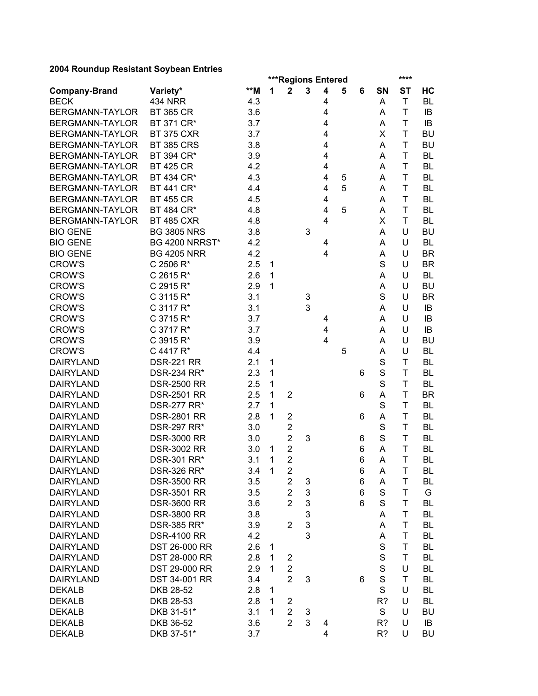|                        |                       |     | ***Regions Entered<br>**** |                         |              |                         |   |   |             |              |           |
|------------------------|-----------------------|-----|----------------------------|-------------------------|--------------|-------------------------|---|---|-------------|--------------|-----------|
| <b>Company-Brand</b>   | Variety*              | **M | 1                          | $\mathbf 2$             | $\mathbf{3}$ | $\overline{\mathbf{4}}$ | 5 | 6 | SN          | <b>ST</b>    | HC        |
| <b>BECK</b>            | <b>434 NRR</b>        | 4.3 |                            |                         |              | 4                       |   |   | Α           | $\mathsf T$  | <b>BL</b> |
| BERGMANN-TAYLOR        | <b>BT 365 CR</b>      | 3.6 |                            |                         |              | 4                       |   |   | Α           | T            | IB        |
| BERGMANN-TAYLOR        | BT 371 CR*            | 3.7 |                            |                         |              | 4                       |   |   | Α           | T            | IB        |
| <b>BERGMANN-TAYLOR</b> | <b>BT 375 CXR</b>     | 3.7 |                            |                         |              | 4                       |   |   | X           | T            | <b>BU</b> |
| <b>BERGMANN-TAYLOR</b> | <b>BT 385 CRS</b>     | 3.8 |                            |                         |              | 4                       |   |   | Α           | T            | <b>BU</b> |
| BERGMANN-TAYLOR        | BT 394 CR*            | 3.9 |                            |                         |              | 4                       |   |   | Α           | T            | <b>BL</b> |
| BERGMANN-TAYLOR        | <b>BT 425 CR</b>      | 4.2 |                            |                         |              | 4                       |   |   | Α           | T            | <b>BL</b> |
| BERGMANN-TAYLOR        | BT 434 CR*            | 4.3 |                            |                         |              | 4                       | 5 |   | Α           | T            | <b>BL</b> |
| <b>BERGMANN-TAYLOR</b> | BT 441 CR*            | 4.4 |                            |                         |              | 4                       | 5 |   | A           | T            | <b>BL</b> |
| <b>BERGMANN-TAYLOR</b> | <b>BT 455 CR</b>      | 4.5 |                            |                         |              | 4                       |   |   | A           | T            | <b>BL</b> |
| <b>BERGMANN-TAYLOR</b> | BT 484 CR*            | 4.8 |                            |                         |              | 4                       | 5 |   | A           | T            | <b>BL</b> |
| BERGMANN-TAYLOR        | <b>BT 485 CXR</b>     | 4.8 |                            |                         |              | 4                       |   |   | X           | T            | <b>BL</b> |
| <b>BIO GENE</b>        | <b>BG 3805 NRS</b>    | 3.8 |                            |                         | 3            |                         |   |   | A           | U            | <b>BU</b> |
| <b>BIO GENE</b>        | <b>BG 4200 NRRST*</b> | 4.2 |                            |                         |              | 4                       |   |   | A           | U            | <b>BL</b> |
| <b>BIO GENE</b>        | <b>BG 4205 NRR</b>    | 4.2 |                            |                         |              | 4                       |   |   | A           | U            | <b>BR</b> |
| <b>CROW'S</b>          | C 2506 R*             | 2.5 | 1                          |                         |              |                         |   |   | S           | U            | <b>BR</b> |
| <b>CROW'S</b>          | C 2615 R*             | 2.6 | $\mathbf{1}$               |                         |              |                         |   |   | Α           | U            | <b>BL</b> |
| <b>CROW'S</b>          | C 2915 R*             | 2.9 | $\mathbf{1}$               |                         |              |                         |   |   | A           | U            | <b>BU</b> |
| <b>CROW'S</b>          | C 3115 R*             | 3.1 |                            |                         | 3            |                         |   |   | S           | U            | <b>BR</b> |
| <b>CROW'S</b>          | C 3117 R*             | 3.1 |                            |                         | 3            |                         |   |   | Α           | U            | IB        |
| <b>CROW'S</b>          | C 3715 R*             | 3.7 |                            |                         |              | 4                       |   |   | Α           | U            | IB        |
| <b>CROW'S</b>          | C 3717 R*             | 3.7 |                            |                         |              | 4                       |   |   | A           | U            | IB        |
| <b>CROW'S</b>          | C 3915 R*             | 3.9 |                            |                         |              | 4                       |   |   | A           | U            | <b>BU</b> |
| <b>CROW'S</b>          | C 4417 R*             | 4.4 |                            |                         |              |                         | 5 |   | A           | U            | <b>BL</b> |
| <b>DAIRYLAND</b>       | <b>DSR-221 RR</b>     | 2.1 | 1                          |                         |              |                         |   |   | S           | T            | <b>BL</b> |
| <b>DAIRYLAND</b>       | DSR-234 RR*           | 2.3 | 1                          |                         |              |                         |   | 6 | S           | T            | <b>BL</b> |
| <b>DAIRYLAND</b>       | <b>DSR-2500 RR</b>    | 2.5 | 1                          |                         |              |                         |   |   | S           | T            | <b>BL</b> |
| <b>DAIRYLAND</b>       | <b>DSR-2501 RR</b>    | 2.5 | 1                          | $\overline{2}$          |              |                         |   | 6 | A           | T            | <b>BR</b> |
| <b>DAIRYLAND</b>       | <b>DSR-277 RR*</b>    | 2.7 | 1                          |                         |              |                         |   |   | S           | T            | <b>BL</b> |
| <b>DAIRYLAND</b>       | <b>DSR-2801 RR</b>    | 2.8 | 1                          | $\overline{2}$          |              |                         |   | 6 | Α           | T            | <b>BL</b> |
| <b>DAIRYLAND</b>       | <b>DSR-297 RR*</b>    | 3.0 |                            | $\overline{c}$          |              |                         |   |   | S           | T            | <b>BL</b> |
| <b>DAIRYLAND</b>       | <b>DSR-3000 RR</b>    | 3.0 |                            | $\overline{2}$          | 3            |                         |   | 6 | S           | T            | <b>BL</b> |
| <b>DAIRYLAND</b>       | <b>DSR-3002 RR</b>    | 3.0 | 1                          | $\overline{c}$          |              |                         |   | 6 | Α           | T            | <b>BL</b> |
| <b>DAIRYLAND</b>       | DSR-301 RR*           | 3.1 | 1                          | $\overline{2}$          |              |                         |   | 6 | A           | T            | <b>BL</b> |
| DAIRYLAND              | <b>DSR-326 RR*</b>    | 3.4 | $\mathbf{1}$               | 2                       |              |                         |   | 6 | A           | $\mathsf{T}$ | <b>BL</b> |
| <b>DAIRYLAND</b>       | <b>DSR-3500 RR</b>    | 3.5 |                            | 2                       | 3            |                         |   | 6 | A           | T            | BL        |
| <b>DAIRYLAND</b>       | <b>DSR-3501 RR</b>    | 3.5 |                            | $\overline{2}$          | 3            |                         |   | 6 | S           | T            | G         |
| <b>DAIRYLAND</b>       | <b>DSR-3600 RR</b>    | 3.6 |                            | $\overline{2}$          | 3            |                         |   | 6 | S           | T            | BL        |
| <b>DAIRYLAND</b>       | <b>DSR-3800 RR</b>    | 3.8 |                            |                         | 3            |                         |   |   | A           | T            | <b>BL</b> |
| <b>DAIRYLAND</b>       | DSR-385 RR*           | 3.9 |                            | $\overline{2}$          | 3            |                         |   |   | A           | T            | <b>BL</b> |
| <b>DAIRYLAND</b>       | <b>DSR-4100 RR</b>    | 4.2 |                            |                         | 3            |                         |   |   | A           | T            | <b>BL</b> |
| <b>DAIRYLAND</b>       | DST 26-000 RR         | 2.6 | 1                          |                         |              |                         |   |   | $\mathsf S$ | T            | <b>BL</b> |
| <b>DAIRYLAND</b>       | DST 28-000 RR         | 2.8 | 1                          | 2                       |              |                         |   |   | S           | T            | BL        |
| <b>DAIRYLAND</b>       | DST 29-000 RR         | 2.9 | 1                          | $\overline{c}$          |              |                         |   |   | $\mathsf S$ | U            | BL        |
| <b>DAIRYLAND</b>       | DST 34-001 RR         | 3.4 |                            | $\overline{2}$          | 3            |                         |   | 6 | S           | T            | BL        |
| <b>DEKALB</b>          | DKB 28-52             | 2.8 | 1                          |                         |              |                         |   |   | S           | U            | BL        |
| <b>DEKALB</b>          | DKB 28-53             | 2.8 | 1                          | $\overline{\mathbf{c}}$ |              |                         |   |   | R?          | U            | BL        |
| <b>DEKALB</b>          | DKB 31-51*            | 3.1 | 1                          | $\overline{c}$          | 3            |                         |   |   | S           | U            | <b>BU</b> |
| <b>DEKALB</b>          | DKB 36-52             | 3.6 |                            | $\overline{2}$          | 3            | 4                       |   |   | R?          | U            | IB        |
| <b>DEKALB</b>          | DKB 37-51*            | 3.7 |                            |                         |              | 4                       |   |   | R?          | U            | <b>BU</b> |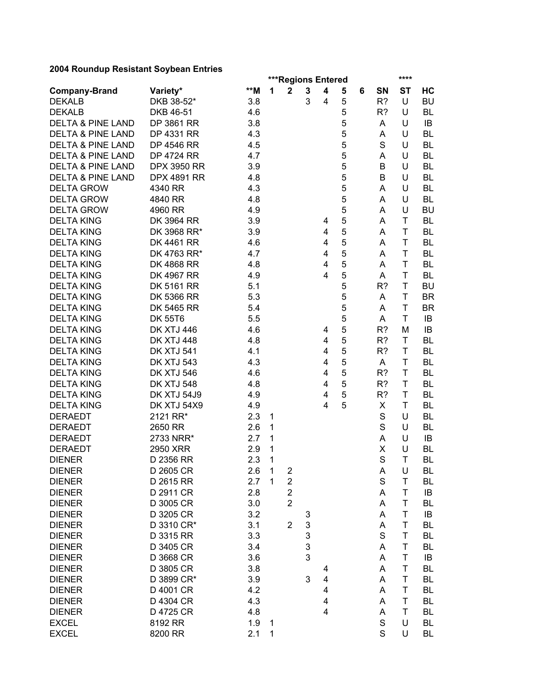| <b>Company-Brand</b><br>1<br>5<br>6<br>HC<br>3<br>5<br><b>DEKALB</b><br>DKB 38-52*<br>3.8<br>$\overline{4}$<br>R?<br>U<br><b>BU</b><br><b>DEKALB</b><br>DKB 46-51<br>4.6<br>5<br>R?<br>U<br>BL<br>5<br><b>DELTA &amp; PINE LAND</b><br>DP 3861 RR<br>3.8<br>U<br>A<br>IB<br>5<br><b>DELTA &amp; PINE LAND</b><br>DP 4331 RR<br>4.3<br>U<br><b>BL</b><br>A<br>5<br>S<br><b>DELTA &amp; PINE LAND</b><br>DP 4546 RR<br>4.5<br>U<br><b>BL</b><br>5<br><b>DELTA &amp; PINE LAND</b><br><b>DP 4724 RR</b><br>4.7<br>U<br><b>BL</b><br>A<br>5<br><b>DELTA &amp; PINE LAND</b><br><b>DPX 3950 RR</b><br>3.9<br>U<br>BL<br>B<br>5<br><b>DELTA &amp; PINE LAND</b><br><b>DPX 4891 RR</b><br>B<br>U<br>BL<br>4.8<br>5<br><b>DELTA GROW</b><br>4340 RR<br>BL<br>4.3<br>U<br>A<br>5<br><b>DELTA GROW</b><br>4840 RR<br>4.8<br>U<br>BL<br>A<br>5<br><b>DELTA GROW</b><br><b>BU</b><br>4960 RR<br>4.9<br>U<br>A<br>5<br>DK 3964 RR<br><b>BL</b><br><b>DELTA KING</b><br>3.9<br>Τ<br>A<br>4<br>5<br><b>DELTA KING</b><br>DK 3968 RR*<br><b>BL</b><br>3.9<br>4<br>Τ<br>A<br>5<br><b>DELTA KING</b><br>DK 4461 RR<br><b>BL</b><br>4.6<br>4<br>Τ<br>A<br>5<br>DK 4763 RR*<br><b>BL</b><br><b>DELTA KING</b><br>4.7<br>4<br>A<br>Τ<br>5<br>4<br>T<br><b>BL</b><br><b>DELTA KING</b><br><b>DK 4868 RR</b><br>4.8<br>A<br>5<br>DK 4967 RR<br>4<br>T<br><b>BL</b><br><b>DELTA KING</b><br>4.9<br>A<br>5<br>T<br><b>DK 5161 RR</b><br>R?<br><b>DELTA KING</b><br>5.1<br><b>BU</b><br>5<br>T<br><b>DELTA KING</b><br>DK 5366 RR<br>5.3<br><b>BR</b><br>A<br>5<br>T<br><b>DELTA KING</b><br>DK 5465 RR<br>5.4<br><b>BR</b><br>A<br>5<br><b>DELTA KING</b><br><b>DK 55T6</b><br>5.5<br>T<br>IB<br>A<br>5<br><b>DELTA KING</b><br><b>DK XTJ 446</b><br>4.6<br>R?<br>IB<br>M<br>4<br>5<br>DK XTJ 448<br><b>DELTA KING</b><br>R?<br><b>BL</b><br>4.8<br>4<br>Τ<br>5<br><b>DELTA KING</b><br><b>DK XTJ 541</b><br>R?<br>T<br><b>BL</b><br>4.1<br>4<br>5<br><b>DELTA KING</b><br><b>DK XTJ 543</b><br>4.3<br>4<br>T<br><b>BL</b><br>A<br>5<br><b>DELTA KING</b><br>DK XTJ 546<br>4<br>R?<br>T<br><b>BL</b><br>4.6<br>5<br><b>DELTA KING</b><br>DK XTJ 548<br>4.8<br>R?<br>T<br>4<br>BL<br>5<br><b>DELTA KING</b><br>DK XTJ 54J9<br>R?<br>T<br><b>BL</b><br>4.9<br>4<br>5<br><b>DELTA KING</b><br>DK XTJ 54X9<br>T<br>4.9<br>4<br>X<br>BL<br><b>DERAEDT</b><br>2121 RR*<br>S<br>U<br><b>BL</b><br>2.3<br>1<br>S<br>U<br>BL<br><b>DERAEDT</b><br>2650 RR<br>2.6<br>1<br>U<br><b>DERAEDT</b><br>2733 NRR*<br>2.7<br>1<br>A<br>IB<br>1<br>X<br>U<br><b>BL</b><br><b>DERAEDT</b><br>2950 XRR<br>2.9<br>S<br>2.3<br>1<br>T<br><b>DIENER</b><br>D 2356 RR<br><b>BL</b><br>2.6<br>$\overline{\mathbf{1}}$<br>U<br>BL<br><b>DIENER</b><br>D 2605 CR<br>2<br>A<br>$\mathbf S$<br>2.7<br>$\mathbf{1}$<br>T<br><b>DIENER</b><br>D 2615 RR<br>$\overline{\mathbf{c}}$<br>BL<br>$\overline{2}$<br>D 2911 CR<br>2.8<br>A<br>T<br><b>DIENER</b><br>IB<br>$\overline{2}$<br>D 3005 CR<br>3.0<br>BL<br><b>DIENER</b><br>A<br>Τ<br>D 3205 CR<br>3.2<br><b>DIENER</b><br>Α<br>Τ<br>IB<br>3<br>3<br>D 3310 CR*<br>3.1<br>$\overline{2}$<br>BL<br><b>DIENER</b><br>Α<br>Τ<br>3<br>S<br>3.3<br><b>DIENER</b><br>D 3315 RR<br>Τ<br>BL<br>3<br>D 3405 CR<br><b>DIENER</b><br>3.4<br>Τ<br>BL<br>A<br>3<br><b>DIENER</b><br>D 3668 CR<br>3.6<br>Τ<br>IB<br>A<br><b>DIENER</b><br>D 3805 CR<br>3.8<br>A<br>Τ<br>BL<br>4<br><b>DIENER</b><br>D 3899 CR*<br>3<br>3.9<br>4<br>A<br>Τ<br>BL<br><b>DIENER</b><br>D 4001 CR<br>BL<br>4.2<br>4<br>A<br>Τ<br><b>DIENER</b><br>4.3<br><b>BL</b><br>D 4304 CR<br>4<br>A<br>Τ<br>4.8<br>4<br>BL<br><b>DIENER</b><br>D 4725 CR<br>Α<br>T<br>$\mathbf S$<br><b>EXCEL</b><br>8192 RR<br>1.9<br>U<br>BL<br>1 |              |          |     |   | ***Regions Entered |   |                         |  |    | ****      |    |
|------------------------------------------------------------------------------------------------------------------------------------------------------------------------------------------------------------------------------------------------------------------------------------------------------------------------------------------------------------------------------------------------------------------------------------------------------------------------------------------------------------------------------------------------------------------------------------------------------------------------------------------------------------------------------------------------------------------------------------------------------------------------------------------------------------------------------------------------------------------------------------------------------------------------------------------------------------------------------------------------------------------------------------------------------------------------------------------------------------------------------------------------------------------------------------------------------------------------------------------------------------------------------------------------------------------------------------------------------------------------------------------------------------------------------------------------------------------------------------------------------------------------------------------------------------------------------------------------------------------------------------------------------------------------------------------------------------------------------------------------------------------------------------------------------------------------------------------------------------------------------------------------------------------------------------------------------------------------------------------------------------------------------------------------------------------------------------------------------------------------------------------------------------------------------------------------------------------------------------------------------------------------------------------------------------------------------------------------------------------------------------------------------------------------------------------------------------------------------------------------------------------------------------------------------------------------------------------------------------------------------------------------------------------------------------------------------------------------------------------------------------------------------------------------------------------------------------------------------------------------------------------------------------------------------------------------------------------------------------------------------------------------------------------------------------------------------------------------------------------------------------------------------------------------------------------------------------------------------------------------------------------------------------------------------------------------------------------------------------------------------------------------------------------------------------------------------------------------------------------------------------------------------------------------------------------------------------------------------------------------------------------------------------------------------------|--------------|----------|-----|---|--------------------|---|-------------------------|--|----|-----------|----|
|                                                                                                                                                                                                                                                                                                                                                                                                                                                                                                                                                                                                                                                                                                                                                                                                                                                                                                                                                                                                                                                                                                                                                                                                                                                                                                                                                                                                                                                                                                                                                                                                                                                                                                                                                                                                                                                                                                                                                                                                                                                                                                                                                                                                                                                                                                                                                                                                                                                                                                                                                                                                                                                                                                                                                                                                                                                                                                                                                                                                                                                                                                                                                                                                                                                                                                                                                                                                                                                                                                                                                                                                                                                                                    |              | Variety* | **M |   | $\mathbf 2$        | 3 | $\overline{\mathbf{4}}$ |  | SN | <b>ST</b> |    |
|                                                                                                                                                                                                                                                                                                                                                                                                                                                                                                                                                                                                                                                                                                                                                                                                                                                                                                                                                                                                                                                                                                                                                                                                                                                                                                                                                                                                                                                                                                                                                                                                                                                                                                                                                                                                                                                                                                                                                                                                                                                                                                                                                                                                                                                                                                                                                                                                                                                                                                                                                                                                                                                                                                                                                                                                                                                                                                                                                                                                                                                                                                                                                                                                                                                                                                                                                                                                                                                                                                                                                                                                                                                                                    |              |          |     |   |                    |   |                         |  |    |           |    |
|                                                                                                                                                                                                                                                                                                                                                                                                                                                                                                                                                                                                                                                                                                                                                                                                                                                                                                                                                                                                                                                                                                                                                                                                                                                                                                                                                                                                                                                                                                                                                                                                                                                                                                                                                                                                                                                                                                                                                                                                                                                                                                                                                                                                                                                                                                                                                                                                                                                                                                                                                                                                                                                                                                                                                                                                                                                                                                                                                                                                                                                                                                                                                                                                                                                                                                                                                                                                                                                                                                                                                                                                                                                                                    |              |          |     |   |                    |   |                         |  |    |           |    |
|                                                                                                                                                                                                                                                                                                                                                                                                                                                                                                                                                                                                                                                                                                                                                                                                                                                                                                                                                                                                                                                                                                                                                                                                                                                                                                                                                                                                                                                                                                                                                                                                                                                                                                                                                                                                                                                                                                                                                                                                                                                                                                                                                                                                                                                                                                                                                                                                                                                                                                                                                                                                                                                                                                                                                                                                                                                                                                                                                                                                                                                                                                                                                                                                                                                                                                                                                                                                                                                                                                                                                                                                                                                                                    |              |          |     |   |                    |   |                         |  |    |           |    |
|                                                                                                                                                                                                                                                                                                                                                                                                                                                                                                                                                                                                                                                                                                                                                                                                                                                                                                                                                                                                                                                                                                                                                                                                                                                                                                                                                                                                                                                                                                                                                                                                                                                                                                                                                                                                                                                                                                                                                                                                                                                                                                                                                                                                                                                                                                                                                                                                                                                                                                                                                                                                                                                                                                                                                                                                                                                                                                                                                                                                                                                                                                                                                                                                                                                                                                                                                                                                                                                                                                                                                                                                                                                                                    |              |          |     |   |                    |   |                         |  |    |           |    |
|                                                                                                                                                                                                                                                                                                                                                                                                                                                                                                                                                                                                                                                                                                                                                                                                                                                                                                                                                                                                                                                                                                                                                                                                                                                                                                                                                                                                                                                                                                                                                                                                                                                                                                                                                                                                                                                                                                                                                                                                                                                                                                                                                                                                                                                                                                                                                                                                                                                                                                                                                                                                                                                                                                                                                                                                                                                                                                                                                                                                                                                                                                                                                                                                                                                                                                                                                                                                                                                                                                                                                                                                                                                                                    |              |          |     |   |                    |   |                         |  |    |           |    |
|                                                                                                                                                                                                                                                                                                                                                                                                                                                                                                                                                                                                                                                                                                                                                                                                                                                                                                                                                                                                                                                                                                                                                                                                                                                                                                                                                                                                                                                                                                                                                                                                                                                                                                                                                                                                                                                                                                                                                                                                                                                                                                                                                                                                                                                                                                                                                                                                                                                                                                                                                                                                                                                                                                                                                                                                                                                                                                                                                                                                                                                                                                                                                                                                                                                                                                                                                                                                                                                                                                                                                                                                                                                                                    |              |          |     |   |                    |   |                         |  |    |           |    |
|                                                                                                                                                                                                                                                                                                                                                                                                                                                                                                                                                                                                                                                                                                                                                                                                                                                                                                                                                                                                                                                                                                                                                                                                                                                                                                                                                                                                                                                                                                                                                                                                                                                                                                                                                                                                                                                                                                                                                                                                                                                                                                                                                                                                                                                                                                                                                                                                                                                                                                                                                                                                                                                                                                                                                                                                                                                                                                                                                                                                                                                                                                                                                                                                                                                                                                                                                                                                                                                                                                                                                                                                                                                                                    |              |          |     |   |                    |   |                         |  |    |           |    |
|                                                                                                                                                                                                                                                                                                                                                                                                                                                                                                                                                                                                                                                                                                                                                                                                                                                                                                                                                                                                                                                                                                                                                                                                                                                                                                                                                                                                                                                                                                                                                                                                                                                                                                                                                                                                                                                                                                                                                                                                                                                                                                                                                                                                                                                                                                                                                                                                                                                                                                                                                                                                                                                                                                                                                                                                                                                                                                                                                                                                                                                                                                                                                                                                                                                                                                                                                                                                                                                                                                                                                                                                                                                                                    |              |          |     |   |                    |   |                         |  |    |           |    |
|                                                                                                                                                                                                                                                                                                                                                                                                                                                                                                                                                                                                                                                                                                                                                                                                                                                                                                                                                                                                                                                                                                                                                                                                                                                                                                                                                                                                                                                                                                                                                                                                                                                                                                                                                                                                                                                                                                                                                                                                                                                                                                                                                                                                                                                                                                                                                                                                                                                                                                                                                                                                                                                                                                                                                                                                                                                                                                                                                                                                                                                                                                                                                                                                                                                                                                                                                                                                                                                                                                                                                                                                                                                                                    |              |          |     |   |                    |   |                         |  |    |           |    |
|                                                                                                                                                                                                                                                                                                                                                                                                                                                                                                                                                                                                                                                                                                                                                                                                                                                                                                                                                                                                                                                                                                                                                                                                                                                                                                                                                                                                                                                                                                                                                                                                                                                                                                                                                                                                                                                                                                                                                                                                                                                                                                                                                                                                                                                                                                                                                                                                                                                                                                                                                                                                                                                                                                                                                                                                                                                                                                                                                                                                                                                                                                                                                                                                                                                                                                                                                                                                                                                                                                                                                                                                                                                                                    |              |          |     |   |                    |   |                         |  |    |           |    |
|                                                                                                                                                                                                                                                                                                                                                                                                                                                                                                                                                                                                                                                                                                                                                                                                                                                                                                                                                                                                                                                                                                                                                                                                                                                                                                                                                                                                                                                                                                                                                                                                                                                                                                                                                                                                                                                                                                                                                                                                                                                                                                                                                                                                                                                                                                                                                                                                                                                                                                                                                                                                                                                                                                                                                                                                                                                                                                                                                                                                                                                                                                                                                                                                                                                                                                                                                                                                                                                                                                                                                                                                                                                                                    |              |          |     |   |                    |   |                         |  |    |           |    |
|                                                                                                                                                                                                                                                                                                                                                                                                                                                                                                                                                                                                                                                                                                                                                                                                                                                                                                                                                                                                                                                                                                                                                                                                                                                                                                                                                                                                                                                                                                                                                                                                                                                                                                                                                                                                                                                                                                                                                                                                                                                                                                                                                                                                                                                                                                                                                                                                                                                                                                                                                                                                                                                                                                                                                                                                                                                                                                                                                                                                                                                                                                                                                                                                                                                                                                                                                                                                                                                                                                                                                                                                                                                                                    |              |          |     |   |                    |   |                         |  |    |           |    |
|                                                                                                                                                                                                                                                                                                                                                                                                                                                                                                                                                                                                                                                                                                                                                                                                                                                                                                                                                                                                                                                                                                                                                                                                                                                                                                                                                                                                                                                                                                                                                                                                                                                                                                                                                                                                                                                                                                                                                                                                                                                                                                                                                                                                                                                                                                                                                                                                                                                                                                                                                                                                                                                                                                                                                                                                                                                                                                                                                                                                                                                                                                                                                                                                                                                                                                                                                                                                                                                                                                                                                                                                                                                                                    |              |          |     |   |                    |   |                         |  |    |           |    |
|                                                                                                                                                                                                                                                                                                                                                                                                                                                                                                                                                                                                                                                                                                                                                                                                                                                                                                                                                                                                                                                                                                                                                                                                                                                                                                                                                                                                                                                                                                                                                                                                                                                                                                                                                                                                                                                                                                                                                                                                                                                                                                                                                                                                                                                                                                                                                                                                                                                                                                                                                                                                                                                                                                                                                                                                                                                                                                                                                                                                                                                                                                                                                                                                                                                                                                                                                                                                                                                                                                                                                                                                                                                                                    |              |          |     |   |                    |   |                         |  |    |           |    |
|                                                                                                                                                                                                                                                                                                                                                                                                                                                                                                                                                                                                                                                                                                                                                                                                                                                                                                                                                                                                                                                                                                                                                                                                                                                                                                                                                                                                                                                                                                                                                                                                                                                                                                                                                                                                                                                                                                                                                                                                                                                                                                                                                                                                                                                                                                                                                                                                                                                                                                                                                                                                                                                                                                                                                                                                                                                                                                                                                                                                                                                                                                                                                                                                                                                                                                                                                                                                                                                                                                                                                                                                                                                                                    |              |          |     |   |                    |   |                         |  |    |           |    |
|                                                                                                                                                                                                                                                                                                                                                                                                                                                                                                                                                                                                                                                                                                                                                                                                                                                                                                                                                                                                                                                                                                                                                                                                                                                                                                                                                                                                                                                                                                                                                                                                                                                                                                                                                                                                                                                                                                                                                                                                                                                                                                                                                                                                                                                                                                                                                                                                                                                                                                                                                                                                                                                                                                                                                                                                                                                                                                                                                                                                                                                                                                                                                                                                                                                                                                                                                                                                                                                                                                                                                                                                                                                                                    |              |          |     |   |                    |   |                         |  |    |           |    |
|                                                                                                                                                                                                                                                                                                                                                                                                                                                                                                                                                                                                                                                                                                                                                                                                                                                                                                                                                                                                                                                                                                                                                                                                                                                                                                                                                                                                                                                                                                                                                                                                                                                                                                                                                                                                                                                                                                                                                                                                                                                                                                                                                                                                                                                                                                                                                                                                                                                                                                                                                                                                                                                                                                                                                                                                                                                                                                                                                                                                                                                                                                                                                                                                                                                                                                                                                                                                                                                                                                                                                                                                                                                                                    |              |          |     |   |                    |   |                         |  |    |           |    |
|                                                                                                                                                                                                                                                                                                                                                                                                                                                                                                                                                                                                                                                                                                                                                                                                                                                                                                                                                                                                                                                                                                                                                                                                                                                                                                                                                                                                                                                                                                                                                                                                                                                                                                                                                                                                                                                                                                                                                                                                                                                                                                                                                                                                                                                                                                                                                                                                                                                                                                                                                                                                                                                                                                                                                                                                                                                                                                                                                                                                                                                                                                                                                                                                                                                                                                                                                                                                                                                                                                                                                                                                                                                                                    |              |          |     |   |                    |   |                         |  |    |           |    |
|                                                                                                                                                                                                                                                                                                                                                                                                                                                                                                                                                                                                                                                                                                                                                                                                                                                                                                                                                                                                                                                                                                                                                                                                                                                                                                                                                                                                                                                                                                                                                                                                                                                                                                                                                                                                                                                                                                                                                                                                                                                                                                                                                                                                                                                                                                                                                                                                                                                                                                                                                                                                                                                                                                                                                                                                                                                                                                                                                                                                                                                                                                                                                                                                                                                                                                                                                                                                                                                                                                                                                                                                                                                                                    |              |          |     |   |                    |   |                         |  |    |           |    |
|                                                                                                                                                                                                                                                                                                                                                                                                                                                                                                                                                                                                                                                                                                                                                                                                                                                                                                                                                                                                                                                                                                                                                                                                                                                                                                                                                                                                                                                                                                                                                                                                                                                                                                                                                                                                                                                                                                                                                                                                                                                                                                                                                                                                                                                                                                                                                                                                                                                                                                                                                                                                                                                                                                                                                                                                                                                                                                                                                                                                                                                                                                                                                                                                                                                                                                                                                                                                                                                                                                                                                                                                                                                                                    |              |          |     |   |                    |   |                         |  |    |           |    |
|                                                                                                                                                                                                                                                                                                                                                                                                                                                                                                                                                                                                                                                                                                                                                                                                                                                                                                                                                                                                                                                                                                                                                                                                                                                                                                                                                                                                                                                                                                                                                                                                                                                                                                                                                                                                                                                                                                                                                                                                                                                                                                                                                                                                                                                                                                                                                                                                                                                                                                                                                                                                                                                                                                                                                                                                                                                                                                                                                                                                                                                                                                                                                                                                                                                                                                                                                                                                                                                                                                                                                                                                                                                                                    |              |          |     |   |                    |   |                         |  |    |           |    |
|                                                                                                                                                                                                                                                                                                                                                                                                                                                                                                                                                                                                                                                                                                                                                                                                                                                                                                                                                                                                                                                                                                                                                                                                                                                                                                                                                                                                                                                                                                                                                                                                                                                                                                                                                                                                                                                                                                                                                                                                                                                                                                                                                                                                                                                                                                                                                                                                                                                                                                                                                                                                                                                                                                                                                                                                                                                                                                                                                                                                                                                                                                                                                                                                                                                                                                                                                                                                                                                                                                                                                                                                                                                                                    |              |          |     |   |                    |   |                         |  |    |           |    |
|                                                                                                                                                                                                                                                                                                                                                                                                                                                                                                                                                                                                                                                                                                                                                                                                                                                                                                                                                                                                                                                                                                                                                                                                                                                                                                                                                                                                                                                                                                                                                                                                                                                                                                                                                                                                                                                                                                                                                                                                                                                                                                                                                                                                                                                                                                                                                                                                                                                                                                                                                                                                                                                                                                                                                                                                                                                                                                                                                                                                                                                                                                                                                                                                                                                                                                                                                                                                                                                                                                                                                                                                                                                                                    |              |          |     |   |                    |   |                         |  |    |           |    |
|                                                                                                                                                                                                                                                                                                                                                                                                                                                                                                                                                                                                                                                                                                                                                                                                                                                                                                                                                                                                                                                                                                                                                                                                                                                                                                                                                                                                                                                                                                                                                                                                                                                                                                                                                                                                                                                                                                                                                                                                                                                                                                                                                                                                                                                                                                                                                                                                                                                                                                                                                                                                                                                                                                                                                                                                                                                                                                                                                                                                                                                                                                                                                                                                                                                                                                                                                                                                                                                                                                                                                                                                                                                                                    |              |          |     |   |                    |   |                         |  |    |           |    |
|                                                                                                                                                                                                                                                                                                                                                                                                                                                                                                                                                                                                                                                                                                                                                                                                                                                                                                                                                                                                                                                                                                                                                                                                                                                                                                                                                                                                                                                                                                                                                                                                                                                                                                                                                                                                                                                                                                                                                                                                                                                                                                                                                                                                                                                                                                                                                                                                                                                                                                                                                                                                                                                                                                                                                                                                                                                                                                                                                                                                                                                                                                                                                                                                                                                                                                                                                                                                                                                                                                                                                                                                                                                                                    |              |          |     |   |                    |   |                         |  |    |           |    |
|                                                                                                                                                                                                                                                                                                                                                                                                                                                                                                                                                                                                                                                                                                                                                                                                                                                                                                                                                                                                                                                                                                                                                                                                                                                                                                                                                                                                                                                                                                                                                                                                                                                                                                                                                                                                                                                                                                                                                                                                                                                                                                                                                                                                                                                                                                                                                                                                                                                                                                                                                                                                                                                                                                                                                                                                                                                                                                                                                                                                                                                                                                                                                                                                                                                                                                                                                                                                                                                                                                                                                                                                                                                                                    |              |          |     |   |                    |   |                         |  |    |           |    |
|                                                                                                                                                                                                                                                                                                                                                                                                                                                                                                                                                                                                                                                                                                                                                                                                                                                                                                                                                                                                                                                                                                                                                                                                                                                                                                                                                                                                                                                                                                                                                                                                                                                                                                                                                                                                                                                                                                                                                                                                                                                                                                                                                                                                                                                                                                                                                                                                                                                                                                                                                                                                                                                                                                                                                                                                                                                                                                                                                                                                                                                                                                                                                                                                                                                                                                                                                                                                                                                                                                                                                                                                                                                                                    |              |          |     |   |                    |   |                         |  |    |           |    |
|                                                                                                                                                                                                                                                                                                                                                                                                                                                                                                                                                                                                                                                                                                                                                                                                                                                                                                                                                                                                                                                                                                                                                                                                                                                                                                                                                                                                                                                                                                                                                                                                                                                                                                                                                                                                                                                                                                                                                                                                                                                                                                                                                                                                                                                                                                                                                                                                                                                                                                                                                                                                                                                                                                                                                                                                                                                                                                                                                                                                                                                                                                                                                                                                                                                                                                                                                                                                                                                                                                                                                                                                                                                                                    |              |          |     |   |                    |   |                         |  |    |           |    |
|                                                                                                                                                                                                                                                                                                                                                                                                                                                                                                                                                                                                                                                                                                                                                                                                                                                                                                                                                                                                                                                                                                                                                                                                                                                                                                                                                                                                                                                                                                                                                                                                                                                                                                                                                                                                                                                                                                                                                                                                                                                                                                                                                                                                                                                                                                                                                                                                                                                                                                                                                                                                                                                                                                                                                                                                                                                                                                                                                                                                                                                                                                                                                                                                                                                                                                                                                                                                                                                                                                                                                                                                                                                                                    |              |          |     |   |                    |   |                         |  |    |           |    |
|                                                                                                                                                                                                                                                                                                                                                                                                                                                                                                                                                                                                                                                                                                                                                                                                                                                                                                                                                                                                                                                                                                                                                                                                                                                                                                                                                                                                                                                                                                                                                                                                                                                                                                                                                                                                                                                                                                                                                                                                                                                                                                                                                                                                                                                                                                                                                                                                                                                                                                                                                                                                                                                                                                                                                                                                                                                                                                                                                                                                                                                                                                                                                                                                                                                                                                                                                                                                                                                                                                                                                                                                                                                                                    |              |          |     |   |                    |   |                         |  |    |           |    |
|                                                                                                                                                                                                                                                                                                                                                                                                                                                                                                                                                                                                                                                                                                                                                                                                                                                                                                                                                                                                                                                                                                                                                                                                                                                                                                                                                                                                                                                                                                                                                                                                                                                                                                                                                                                                                                                                                                                                                                                                                                                                                                                                                                                                                                                                                                                                                                                                                                                                                                                                                                                                                                                                                                                                                                                                                                                                                                                                                                                                                                                                                                                                                                                                                                                                                                                                                                                                                                                                                                                                                                                                                                                                                    |              |          |     |   |                    |   |                         |  |    |           |    |
|                                                                                                                                                                                                                                                                                                                                                                                                                                                                                                                                                                                                                                                                                                                                                                                                                                                                                                                                                                                                                                                                                                                                                                                                                                                                                                                                                                                                                                                                                                                                                                                                                                                                                                                                                                                                                                                                                                                                                                                                                                                                                                                                                                                                                                                                                                                                                                                                                                                                                                                                                                                                                                                                                                                                                                                                                                                                                                                                                                                                                                                                                                                                                                                                                                                                                                                                                                                                                                                                                                                                                                                                                                                                                    |              |          |     |   |                    |   |                         |  |    |           |    |
|                                                                                                                                                                                                                                                                                                                                                                                                                                                                                                                                                                                                                                                                                                                                                                                                                                                                                                                                                                                                                                                                                                                                                                                                                                                                                                                                                                                                                                                                                                                                                                                                                                                                                                                                                                                                                                                                                                                                                                                                                                                                                                                                                                                                                                                                                                                                                                                                                                                                                                                                                                                                                                                                                                                                                                                                                                                                                                                                                                                                                                                                                                                                                                                                                                                                                                                                                                                                                                                                                                                                                                                                                                                                                    |              |          |     |   |                    |   |                         |  |    |           |    |
|                                                                                                                                                                                                                                                                                                                                                                                                                                                                                                                                                                                                                                                                                                                                                                                                                                                                                                                                                                                                                                                                                                                                                                                                                                                                                                                                                                                                                                                                                                                                                                                                                                                                                                                                                                                                                                                                                                                                                                                                                                                                                                                                                                                                                                                                                                                                                                                                                                                                                                                                                                                                                                                                                                                                                                                                                                                                                                                                                                                                                                                                                                                                                                                                                                                                                                                                                                                                                                                                                                                                                                                                                                                                                    |              |          |     |   |                    |   |                         |  |    |           |    |
|                                                                                                                                                                                                                                                                                                                                                                                                                                                                                                                                                                                                                                                                                                                                                                                                                                                                                                                                                                                                                                                                                                                                                                                                                                                                                                                                                                                                                                                                                                                                                                                                                                                                                                                                                                                                                                                                                                                                                                                                                                                                                                                                                                                                                                                                                                                                                                                                                                                                                                                                                                                                                                                                                                                                                                                                                                                                                                                                                                                                                                                                                                                                                                                                                                                                                                                                                                                                                                                                                                                                                                                                                                                                                    |              |          |     |   |                    |   |                         |  |    |           |    |
|                                                                                                                                                                                                                                                                                                                                                                                                                                                                                                                                                                                                                                                                                                                                                                                                                                                                                                                                                                                                                                                                                                                                                                                                                                                                                                                                                                                                                                                                                                                                                                                                                                                                                                                                                                                                                                                                                                                                                                                                                                                                                                                                                                                                                                                                                                                                                                                                                                                                                                                                                                                                                                                                                                                                                                                                                                                                                                                                                                                                                                                                                                                                                                                                                                                                                                                                                                                                                                                                                                                                                                                                                                                                                    |              |          |     |   |                    |   |                         |  |    |           |    |
|                                                                                                                                                                                                                                                                                                                                                                                                                                                                                                                                                                                                                                                                                                                                                                                                                                                                                                                                                                                                                                                                                                                                                                                                                                                                                                                                                                                                                                                                                                                                                                                                                                                                                                                                                                                                                                                                                                                                                                                                                                                                                                                                                                                                                                                                                                                                                                                                                                                                                                                                                                                                                                                                                                                                                                                                                                                                                                                                                                                                                                                                                                                                                                                                                                                                                                                                                                                                                                                                                                                                                                                                                                                                                    |              |          |     |   |                    |   |                         |  |    |           |    |
|                                                                                                                                                                                                                                                                                                                                                                                                                                                                                                                                                                                                                                                                                                                                                                                                                                                                                                                                                                                                                                                                                                                                                                                                                                                                                                                                                                                                                                                                                                                                                                                                                                                                                                                                                                                                                                                                                                                                                                                                                                                                                                                                                                                                                                                                                                                                                                                                                                                                                                                                                                                                                                                                                                                                                                                                                                                                                                                                                                                                                                                                                                                                                                                                                                                                                                                                                                                                                                                                                                                                                                                                                                                                                    |              |          |     |   |                    |   |                         |  |    |           |    |
|                                                                                                                                                                                                                                                                                                                                                                                                                                                                                                                                                                                                                                                                                                                                                                                                                                                                                                                                                                                                                                                                                                                                                                                                                                                                                                                                                                                                                                                                                                                                                                                                                                                                                                                                                                                                                                                                                                                                                                                                                                                                                                                                                                                                                                                                                                                                                                                                                                                                                                                                                                                                                                                                                                                                                                                                                                                                                                                                                                                                                                                                                                                                                                                                                                                                                                                                                                                                                                                                                                                                                                                                                                                                                    |              |          |     |   |                    |   |                         |  |    |           |    |
|                                                                                                                                                                                                                                                                                                                                                                                                                                                                                                                                                                                                                                                                                                                                                                                                                                                                                                                                                                                                                                                                                                                                                                                                                                                                                                                                                                                                                                                                                                                                                                                                                                                                                                                                                                                                                                                                                                                                                                                                                                                                                                                                                                                                                                                                                                                                                                                                                                                                                                                                                                                                                                                                                                                                                                                                                                                                                                                                                                                                                                                                                                                                                                                                                                                                                                                                                                                                                                                                                                                                                                                                                                                                                    |              |          |     |   |                    |   |                         |  |    |           |    |
|                                                                                                                                                                                                                                                                                                                                                                                                                                                                                                                                                                                                                                                                                                                                                                                                                                                                                                                                                                                                                                                                                                                                                                                                                                                                                                                                                                                                                                                                                                                                                                                                                                                                                                                                                                                                                                                                                                                                                                                                                                                                                                                                                                                                                                                                                                                                                                                                                                                                                                                                                                                                                                                                                                                                                                                                                                                                                                                                                                                                                                                                                                                                                                                                                                                                                                                                                                                                                                                                                                                                                                                                                                                                                    |              |          |     |   |                    |   |                         |  |    |           |    |
|                                                                                                                                                                                                                                                                                                                                                                                                                                                                                                                                                                                                                                                                                                                                                                                                                                                                                                                                                                                                                                                                                                                                                                                                                                                                                                                                                                                                                                                                                                                                                                                                                                                                                                                                                                                                                                                                                                                                                                                                                                                                                                                                                                                                                                                                                                                                                                                                                                                                                                                                                                                                                                                                                                                                                                                                                                                                                                                                                                                                                                                                                                                                                                                                                                                                                                                                                                                                                                                                                                                                                                                                                                                                                    |              |          |     |   |                    |   |                         |  |    |           |    |
|                                                                                                                                                                                                                                                                                                                                                                                                                                                                                                                                                                                                                                                                                                                                                                                                                                                                                                                                                                                                                                                                                                                                                                                                                                                                                                                                                                                                                                                                                                                                                                                                                                                                                                                                                                                                                                                                                                                                                                                                                                                                                                                                                                                                                                                                                                                                                                                                                                                                                                                                                                                                                                                                                                                                                                                                                                                                                                                                                                                                                                                                                                                                                                                                                                                                                                                                                                                                                                                                                                                                                                                                                                                                                    |              |          |     |   |                    |   |                         |  |    |           |    |
|                                                                                                                                                                                                                                                                                                                                                                                                                                                                                                                                                                                                                                                                                                                                                                                                                                                                                                                                                                                                                                                                                                                                                                                                                                                                                                                                                                                                                                                                                                                                                                                                                                                                                                                                                                                                                                                                                                                                                                                                                                                                                                                                                                                                                                                                                                                                                                                                                                                                                                                                                                                                                                                                                                                                                                                                                                                                                                                                                                                                                                                                                                                                                                                                                                                                                                                                                                                                                                                                                                                                                                                                                                                                                    |              |          |     |   |                    |   |                         |  |    |           |    |
|                                                                                                                                                                                                                                                                                                                                                                                                                                                                                                                                                                                                                                                                                                                                                                                                                                                                                                                                                                                                                                                                                                                                                                                                                                                                                                                                                                                                                                                                                                                                                                                                                                                                                                                                                                                                                                                                                                                                                                                                                                                                                                                                                                                                                                                                                                                                                                                                                                                                                                                                                                                                                                                                                                                                                                                                                                                                                                                                                                                                                                                                                                                                                                                                                                                                                                                                                                                                                                                                                                                                                                                                                                                                                    |              |          |     |   |                    |   |                         |  |    |           |    |
|                                                                                                                                                                                                                                                                                                                                                                                                                                                                                                                                                                                                                                                                                                                                                                                                                                                                                                                                                                                                                                                                                                                                                                                                                                                                                                                                                                                                                                                                                                                                                                                                                                                                                                                                                                                                                                                                                                                                                                                                                                                                                                                                                                                                                                                                                                                                                                                                                                                                                                                                                                                                                                                                                                                                                                                                                                                                                                                                                                                                                                                                                                                                                                                                                                                                                                                                                                                                                                                                                                                                                                                                                                                                                    |              |          |     |   |                    |   |                         |  |    |           |    |
|                                                                                                                                                                                                                                                                                                                                                                                                                                                                                                                                                                                                                                                                                                                                                                                                                                                                                                                                                                                                                                                                                                                                                                                                                                                                                                                                                                                                                                                                                                                                                                                                                                                                                                                                                                                                                                                                                                                                                                                                                                                                                                                                                                                                                                                                                                                                                                                                                                                                                                                                                                                                                                                                                                                                                                                                                                                                                                                                                                                                                                                                                                                                                                                                                                                                                                                                                                                                                                                                                                                                                                                                                                                                                    |              |          |     |   |                    |   |                         |  |    |           |    |
|                                                                                                                                                                                                                                                                                                                                                                                                                                                                                                                                                                                                                                                                                                                                                                                                                                                                                                                                                                                                                                                                                                                                                                                                                                                                                                                                                                                                                                                                                                                                                                                                                                                                                                                                                                                                                                                                                                                                                                                                                                                                                                                                                                                                                                                                                                                                                                                                                                                                                                                                                                                                                                                                                                                                                                                                                                                                                                                                                                                                                                                                                                                                                                                                                                                                                                                                                                                                                                                                                                                                                                                                                                                                                    |              |          |     |   |                    |   |                         |  |    |           |    |
|                                                                                                                                                                                                                                                                                                                                                                                                                                                                                                                                                                                                                                                                                                                                                                                                                                                                                                                                                                                                                                                                                                                                                                                                                                                                                                                                                                                                                                                                                                                                                                                                                                                                                                                                                                                                                                                                                                                                                                                                                                                                                                                                                                                                                                                                                                                                                                                                                                                                                                                                                                                                                                                                                                                                                                                                                                                                                                                                                                                                                                                                                                                                                                                                                                                                                                                                                                                                                                                                                                                                                                                                                                                                                    |              |          |     |   |                    |   |                         |  |    |           |    |
|                                                                                                                                                                                                                                                                                                                                                                                                                                                                                                                                                                                                                                                                                                                                                                                                                                                                                                                                                                                                                                                                                                                                                                                                                                                                                                                                                                                                                                                                                                                                                                                                                                                                                                                                                                                                                                                                                                                                                                                                                                                                                                                                                                                                                                                                                                                                                                                                                                                                                                                                                                                                                                                                                                                                                                                                                                                                                                                                                                                                                                                                                                                                                                                                                                                                                                                                                                                                                                                                                                                                                                                                                                                                                    | <b>EXCEL</b> | 8200 RR  | 2.1 | 1 |                    |   |                         |  | S  | U         | BL |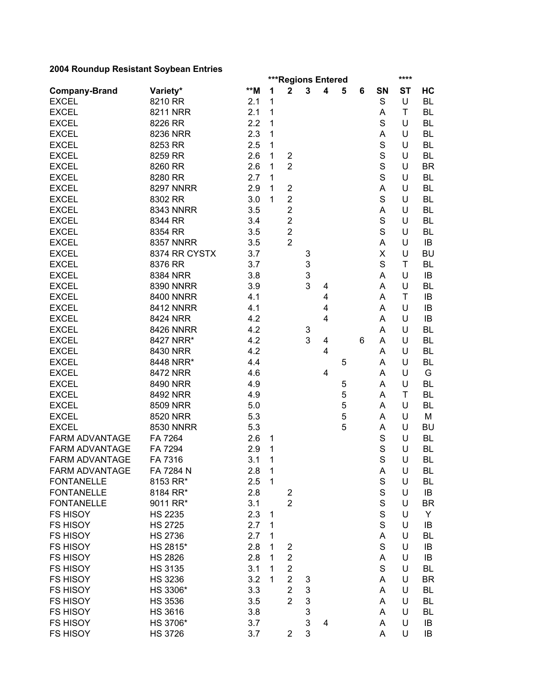|                       |                  |     |              | <b>***Regions Entered</b>                 |   |   |   |   |             | ****      |           |
|-----------------------|------------------|-----|--------------|-------------------------------------------|---|---|---|---|-------------|-----------|-----------|
| <b>Company-Brand</b>  | Variety*         | **M | 1            | $\mathbf 2$                               | 3 | 4 | 5 | 6 | SN          | <b>ST</b> | HC        |
| <b>EXCEL</b>          | 8210 RR          | 2.1 | 1            |                                           |   |   |   |   | $\mathbf S$ | U         | <b>BL</b> |
| <b>EXCEL</b>          | 8211 NRR         | 2.1 | 1            |                                           |   |   |   |   | Α           | T         | BL        |
| <b>EXCEL</b>          | 8226 RR          | 2.2 | 1            |                                           |   |   |   |   | S           | U         | <b>BL</b> |
| <b>EXCEL</b>          | 8236 NRR         | 2.3 | 1            |                                           |   |   |   |   | A           | U         | <b>BL</b> |
| <b>EXCEL</b>          | 8253 RR          | 2.5 | 1            |                                           |   |   |   |   | $\mathbf S$ | U         | <b>BL</b> |
| <b>EXCEL</b>          | 8259 RR          | 2.6 | 1            | $\overline{\mathbf{c}}$                   |   |   |   |   | $\mathbf S$ | U         | <b>BL</b> |
| <b>EXCEL</b>          | 8260 RR          | 2.6 | 1            | $\overline{2}$                            |   |   |   |   | $\mathbf S$ | U         | <b>BR</b> |
| <b>EXCEL</b>          | 8280 RR          | 2.7 | 1            |                                           |   |   |   |   | S           | U         | <b>BL</b> |
| <b>EXCEL</b>          | <b>8297 NNRR</b> | 2.9 | 1            | $\overline{\mathbf{c}}$                   |   |   |   |   | A           | U         | BL        |
| <b>EXCEL</b>          | 8302 RR          | 3.0 | 1            | $\overline{2}$                            |   |   |   |   | S           | U         | BL        |
| <b>EXCEL</b>          | 8343 NNRR        | 3.5 |              | $\overline{2}$                            |   |   |   |   | A           | U         | BL        |
| <b>EXCEL</b>          | 8344 RR          | 3.4 |              | $\overline{2}$                            |   |   |   |   | S           | U         | <b>BL</b> |
| <b>EXCEL</b>          | 8354 RR          | 3.5 |              | $\overline{2}$                            |   |   |   |   | S           | U         | <b>BL</b> |
| <b>EXCEL</b>          | <b>8357 NNRR</b> | 3.5 |              | $\overline{2}$                            |   |   |   |   | Α           | U         | IB        |
| <b>EXCEL</b>          | 8374 RR CYSTX    | 3.7 |              |                                           | 3 |   |   |   | X           | U         | <b>BU</b> |
| <b>EXCEL</b>          | 8376 RR          | 3.7 |              |                                           | 3 |   |   |   | S           | T         | <b>BL</b> |
| <b>EXCEL</b>          | 8384 NRR         | 3.8 |              |                                           | 3 |   |   |   | A           | U         | IB        |
| <b>EXCEL</b>          | 8390 NNRR        | 3.9 |              |                                           | 3 | 4 |   |   | A           | U         | <b>BL</b> |
| <b>EXCEL</b>          | <b>8400 NNRR</b> | 4.1 |              |                                           |   | 4 |   |   | A           | T         | IB        |
| <b>EXCEL</b>          | <b>8412 NNRR</b> | 4.1 |              |                                           |   | 4 |   |   | A           | U         | IB        |
| <b>EXCEL</b>          | 8424 NRR         | 4.2 |              |                                           |   | 4 |   |   | Α           | U         | IB        |
| <b>EXCEL</b>          | <b>8426 NNRR</b> | 4.2 |              |                                           | 3 |   |   |   | A           | U         | BL        |
| <b>EXCEL</b>          | 8427 NRR*        | 4.2 |              |                                           | 3 | 4 |   | 6 | Α           | U         | BL        |
| <b>EXCEL</b>          | 8430 NRR         | 4.2 |              |                                           |   | 4 |   |   | Α           | U         | BL        |
| <b>EXCEL</b>          | 8448 NRR*        | 4.4 |              |                                           |   |   | 5 |   | Α           | U         | BL        |
| <b>EXCEL</b>          | 8472 NRR         | 4.6 |              |                                           |   | 4 |   |   | Α           | U         | G         |
| <b>EXCEL</b>          | 8490 NRR         | 4.9 |              |                                           |   |   | 5 |   | Α           | U         | BL        |
| <b>EXCEL</b>          | 8492 NRR         | 4.9 |              |                                           |   |   | 5 |   | A           | T         | BL        |
| <b>EXCEL</b>          | 8509 NRR         | 5.0 |              |                                           |   |   | 5 |   | A           | U         | BL        |
| <b>EXCEL</b>          | 8520 NRR         | 5.3 |              |                                           |   |   | 5 |   | A           | U         | M         |
| <b>EXCEL</b>          | <b>8530 NNRR</b> | 5.3 |              |                                           |   |   | 5 |   | A           | U         | <b>BU</b> |
| FARM ADVANTAGE        | FA 7264          | 2.6 | $\mathbf 1$  |                                           |   |   |   |   | S           | U         | <b>BL</b> |
| <b>FARM ADVANTAGE</b> | FA 7294          | 2.9 | 1            |                                           |   |   |   |   | S           | U         | <b>BL</b> |
| FARM ADVANTAGE        | FA 7316          | 3.1 | 1            |                                           |   |   |   |   | S           | U         | <b>BL</b> |
| FARM ADVANTAGE        | FA 7284 N        | 2.8 | 1            |                                           |   |   |   |   | A           | U         | BL        |
| <b>FONTANELLE</b>     | 8153 RR*         | 2.5 | $\mathbf{1}$ |                                           |   |   |   |   | $\mathbb S$ | U         | BL        |
| <b>FONTANELLE</b>     | 8184 RR*         | 2.8 |              |                                           |   |   |   |   | $\mathbf S$ | U         | IB        |
| <b>FONTANELLE</b>     |                  | 3.1 |              | $\overline{\mathbf{c}}$<br>$\overline{2}$ |   |   |   |   | $\mathbf S$ | U         | <b>BR</b> |
| <b>FS HISOY</b>       | 9011 RR*         |     |              |                                           |   |   |   |   | $\mathsf S$ | U         |           |
|                       | <b>HS 2235</b>   | 2.3 | 1            |                                           |   |   |   |   | S           |           | Y         |
| <b>FS HISOY</b>       | <b>HS 2725</b>   | 2.7 | 1            |                                           |   |   |   |   |             | U         | IB        |
| <b>FS HISOY</b>       | <b>HS 2736</b>   | 2.7 | 1            |                                           |   |   |   |   | A           | U         | BL        |
| <b>FS HISOY</b>       | HS 2815*         | 2.8 | 1            | $\overline{\mathbf{c}}$                   |   |   |   |   | $\mathbf S$ | U         | IB        |
| <b>FS HISOY</b>       | <b>HS 2826</b>   | 2.8 | 1            | $\overline{c}$                            |   |   |   |   | A           | U         | IB        |
| <b>FS HISOY</b>       | <b>HS 3135</b>   | 3.1 | 1            | $\overline{c}$                            |   |   |   |   | S           | U         | BL        |
| <b>FS HISOY</b>       | <b>HS 3236</b>   | 3.2 | 1            | $\overline{2}$                            | 3 |   |   |   | A           | U         | <b>BR</b> |
| <b>FS HISOY</b>       | HS 3306*         | 3.3 |              | $\overline{2}$                            | 3 |   |   |   | A           | U         | BL        |
| <b>FS HISOY</b>       | <b>HS 3536</b>   | 3.5 |              | $\overline{2}$                            | 3 |   |   |   | A           | U         | <b>BL</b> |
| <b>FS HISOY</b>       | <b>HS 3616</b>   | 3.8 |              |                                           | 3 |   |   |   | A           | U         | BL        |
| <b>FS HISOY</b>       | HS 3706*         | 3.7 |              |                                           | 3 | 4 |   |   | A           | U         | IB        |
| FS HISOY              | <b>HS 3726</b>   | 3.7 |              | $\overline{2}$                            | 3 |   |   |   | A           | U         | IB        |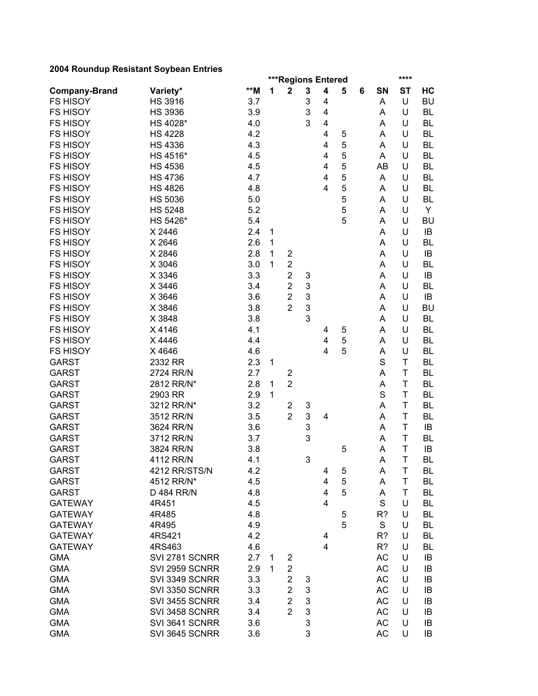|                      |                |     |   | ***Regions Entered      |        |                         |   |   |           | ****      |           |
|----------------------|----------------|-----|---|-------------------------|--------|-------------------------|---|---|-----------|-----------|-----------|
| <b>Company-Brand</b> | Variety*       | **M | 1 | $\mathbf 2$             | 3      | $\overline{\mathbf{4}}$ | 5 | 6 | SN        | <b>ST</b> | HC        |
| <b>FS HISOY</b>      | <b>HS 3916</b> | 3.7 |   |                         | 3      | 4                       |   |   | A         | U         | <b>BU</b> |
| <b>FS HISOY</b>      | <b>HS 3936</b> | 3.9 |   |                         | 3      | 4                       |   |   | Α         | U         | <b>BL</b> |
| <b>FS HISOY</b>      | HS 4028*       | 4.0 |   |                         | 3      | 4                       |   |   | A         | U         | <b>BL</b> |
| <b>FS HISOY</b>      | <b>HS 4228</b> | 4.2 |   |                         |        | 4                       | 5 |   | A         | U         | <b>BL</b> |
| <b>FS HISOY</b>      | <b>HS 4336</b> | 4.3 |   |                         |        | 4                       | 5 |   | A         | U         | <b>BL</b> |
| <b>FS HISOY</b>      | HS 4516*       | 4.5 |   |                         |        | 4                       | 5 |   | A         | U         | BL        |
| <b>FS HISOY</b>      | <b>HS 4536</b> | 4.5 |   |                         |        | 4                       | 5 |   | AB        | U         | BL        |
| <b>FS HISOY</b>      | <b>HS 4736</b> | 4.7 |   |                         |        | $\overline{\mathbf{4}}$ | 5 |   | A         | U         | <b>BL</b> |
| <b>FS HISOY</b>      | <b>HS 4826</b> | 4.8 |   |                         |        | 4                       | 5 |   | A         | U         | <b>BL</b> |
| <b>FS HISOY</b>      | <b>HS 5036</b> | 5.0 |   |                         |        |                         | 5 |   | A         | U         | BL        |
| <b>FS HISOY</b>      | <b>HS 5248</b> | 5.2 |   |                         |        |                         | 5 |   | A         | U         | Y         |
| <b>FS HISOY</b>      | HS 5426*       | 5.4 |   |                         |        |                         | 5 |   | A         | U         | <b>BU</b> |
| <b>FS HISOY</b>      | X 2446         | 2.4 | 1 |                         |        |                         |   |   | Α         | U         | IB        |
| <b>FS HISOY</b>      | X 2646         | 2.6 | 1 |                         |        |                         |   |   | A         | U         | BL        |
| <b>FS HISOY</b>      | X 2846         | 2.8 | 1 | $\overline{\mathbf{c}}$ |        |                         |   |   | A         | U         | IB        |
| <b>FS HISOY</b>      | X 3046         | 3.0 | 1 | $\overline{c}$          |        |                         |   |   | Α         | U         | <b>BL</b> |
| <b>FS HISOY</b>      | X 3346         | 3.3 |   | $\overline{c}$          | 3      |                         |   |   | A         | U         | IB        |
| <b>FS HISOY</b>      | X 3446         | 3.4 |   | $\overline{2}$          | 3      |                         |   |   | A         | U         | <b>BL</b> |
| <b>FS HISOY</b>      | X 3646         | 3.6 |   | $\overline{2}$          | 3      |                         |   |   | A         | U         | IB        |
| <b>FS HISOY</b>      | X 3846         | 3.8 |   | $\overline{2}$          | 3      |                         |   |   | A         | U         | <b>BU</b> |
| <b>FS HISOY</b>      | X 3848         | 3.8 |   |                         | 3      |                         |   |   | A         | U         | <b>BL</b> |
| <b>FS HISOY</b>      | X4146          | 4.1 |   |                         |        | 4                       | 5 |   | A         | U         | <b>BL</b> |
| <b>FS HISOY</b>      | X4446          | 4.4 |   |                         |        | 4                       | 5 |   | A         | U         | BL        |
| <b>FS HISOY</b>      | X4646          | 4.6 |   |                         |        | $\overline{4}$          | 5 |   | A         | U         | <b>BL</b> |
| <b>GARST</b>         | 2332 RR        | 2.3 | 1 |                         |        |                         |   |   | S         | T         | <b>BL</b> |
| <b>GARST</b>         | 2724 RR/N      | 2.7 |   | $\overline{2}$          |        |                         |   |   | A         | Τ         | <b>BL</b> |
| <b>GARST</b>         | 2812 RR/N*     | 2.8 | 1 | $\overline{2}$          |        |                         |   |   | A         | Τ         | <b>BL</b> |
| <b>GARST</b>         | 2903 RR        | 2.9 | 1 |                         |        |                         |   |   | S         | T         | <b>BL</b> |
| <b>GARST</b>         | 3212 RR/N*     | 3.2 |   | $\overline{c}$          | 3      |                         |   |   | Α         | T         | <b>BL</b> |
| <b>GARST</b>         | 3512 RR/N      | 3.5 |   | $\overline{2}$          | 3      | 4                       |   |   | Α         | Τ         | <b>BL</b> |
| <b>GARST</b>         | 3624 RR/N      | 3.6 |   |                         | 3      |                         |   |   | Α         | T         | IB        |
| <b>GARST</b>         | 3712 RR/N      | 3.7 |   |                         | 3      |                         |   |   | Α         | T         | BL        |
| <b>GARST</b>         | 3824 RR/N      | 3.8 |   |                         |        |                         | 5 |   | Α         | T         | IB        |
| <b>GARST</b>         | 4112 RR/N      | 4.1 |   |                         | 3      |                         |   |   | A         | T         | <b>BL</b> |
| <b>GARST</b>         | 4212 RR/STS/N  | 4.2 |   |                         |        | 4                       | 5 |   | A         | T.        | <b>BL</b> |
| <b>GARST</b>         | 4512 RR/N*     | 4.5 |   |                         |        | 4                       | 5 |   | A         | Τ         | BL        |
| <b>GARST</b>         | D 484 RR/N     | 4.8 |   |                         |        | $\overline{\mathbf{4}}$ | 5 |   | A         | Τ         | <b>BL</b> |
| <b>GATEWAY</b>       | 4R451          | 4.5 |   |                         |        | 4                       |   |   | S         | U         | <b>BL</b> |
| <b>GATEWAY</b>       | 4R485          | 4.8 |   |                         |        |                         | 5 |   | R?        | U         | <b>BL</b> |
| <b>GATEWAY</b>       | 4R495          | 4.9 |   |                         |        |                         | 5 |   | S         | U         | <b>BL</b> |
| <b>GATEWAY</b>       | 4RS421         | 4.2 |   |                         |        | 4                       |   |   | R?        | U         | <b>BL</b> |
| <b>GATEWAY</b>       | 4RS463         | 4.6 |   |                         |        | 4                       |   |   | R?        | U         | <b>BL</b> |
| <b>GMA</b>           | SVI 2781 SCNRR | 2.7 | 1 | 2                       |        |                         |   |   | AC        | U         | IB        |
| <b>GMA</b>           | SVI 2959 SCNRR | 2.9 | 1 | $\overline{\mathbf{c}}$ |        |                         |   |   | <b>AC</b> | U         | IB        |
| <b>GMA</b>           | SVI 3349 SCNRR | 3.3 |   | $\overline{2}$          |        |                         |   |   | AC        | U         | IB        |
| <b>GMA</b>           | SVI 3350 SCNRR | 3.3 |   | $\overline{2}$          | 3<br>3 |                         |   |   | AC        | U         | IB        |
| <b>GMA</b>           | SVI 3455 SCNRR | 3.4 |   | $\overline{2}$          | 3      |                         |   |   | AC        | U         | IB        |
| <b>GMA</b>           | SVI 3458 SCNRR | 3.4 |   | $\overline{2}$          | 3      |                         |   |   | AC        | U         | IB        |
| <b>GMA</b>           | SVI 3641 SCNRR | 3.6 |   |                         | 3      |                         |   |   | AC        | U         | IB        |
| <b>GMA</b>           |                |     |   |                         | 3      |                         |   |   | AC        | U         |           |
|                      | SVI 3645 SCNRR | 3.6 |   |                         |        |                         |   |   |           |           | IB        |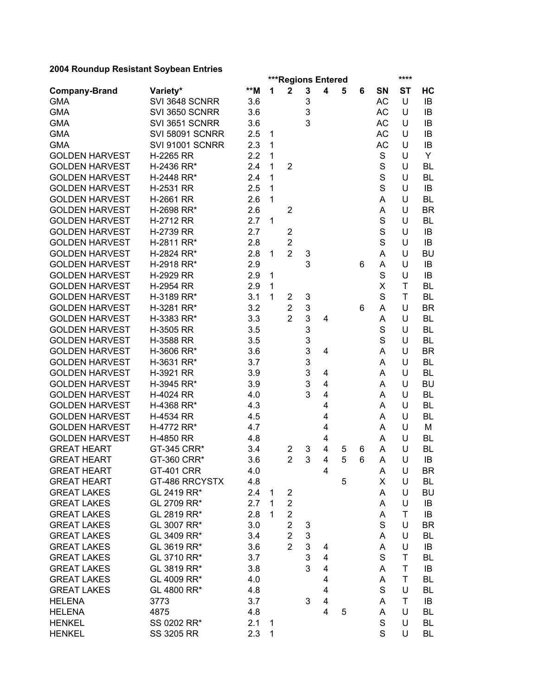|                       |                        |     |   | ***Regions Entered |                           |                         |   |   |             | ****      |           |
|-----------------------|------------------------|-----|---|--------------------|---------------------------|-------------------------|---|---|-------------|-----------|-----------|
| <b>Company-Brand</b>  | Variety*               | **M | 1 | $\mathbf 2$        | 3                         | 4                       | 5 | 6 | <b>SN</b>   | <b>ST</b> | HC        |
| <b>GMA</b>            | SVI 3648 SCNRR         | 3.6 |   |                    | 3                         |                         |   |   | AC          | U         | IB        |
| <b>GMA</b>            | SVI 3650 SCNRR         | 3.6 |   |                    | 3                         |                         |   |   | <b>AC</b>   | U         | IB        |
| <b>GMA</b>            | SVI 3651 SCNRR         | 3.6 |   |                    | 3                         |                         |   |   | <b>AC</b>   | U         | IB        |
| <b>GMA</b>            | <b>SVI 58091 SCNRR</b> | 2.5 | 1 |                    |                           |                         |   |   | <b>AC</b>   | U         | IB        |
| <b>GMA</b>            | <b>SVI 91001 SCNRR</b> | 2.3 | 1 |                    |                           |                         |   |   | <b>AC</b>   | U         | IB        |
| <b>GOLDEN HARVEST</b> | H-2265 RR              | 2.2 | 1 |                    |                           |                         |   |   | S           | U         | Y         |
| <b>GOLDEN HARVEST</b> | H-2436 RR*             | 2.4 | 1 | $\overline{2}$     |                           |                         |   |   | $\mathbf S$ | U         | <b>BL</b> |
| <b>GOLDEN HARVEST</b> | H-2448 RR*             | 2.4 | 1 |                    |                           |                         |   |   | $\mathbf S$ | U         | <b>BL</b> |
| <b>GOLDEN HARVEST</b> | H-2531 RR              | 2.5 | 1 |                    |                           |                         |   |   | S           | U         | IB        |
| <b>GOLDEN HARVEST</b> | H-2661 RR              | 2.6 | 1 |                    |                           |                         |   |   | A           | U         | <b>BL</b> |
| <b>GOLDEN HARVEST</b> | H-2698 RR*             | 2.6 |   | $\overline{2}$     |                           |                         |   |   | A           | U         | <b>BR</b> |
| <b>GOLDEN HARVEST</b> | H-2712 RR              | 2.7 | 1 |                    |                           |                         |   |   | S           | U         | BL        |
| <b>GOLDEN HARVEST</b> | H-2739 RR              | 2.7 |   | $\overline{2}$     |                           |                         |   |   | $\mathbf S$ | U         | IB        |
| <b>GOLDEN HARVEST</b> | H-2811 RR*             | 2.8 |   | $\overline{2}$     |                           |                         |   |   | S           | U         | IB        |
| <b>GOLDEN HARVEST</b> | H-2824 RR*             | 2.8 | 1 | $\overline{2}$     | 3                         |                         |   |   | A           | U         | <b>BU</b> |
| <b>GOLDEN HARVEST</b> | H-2918 RR*             | 2.9 |   |                    | 3                         |                         |   | 6 | Α           | U         | IB        |
| <b>GOLDEN HARVEST</b> | H-2929 RR              | 2.9 | 1 |                    |                           |                         |   |   | S           | U         | IB        |
| <b>GOLDEN HARVEST</b> | H-2954 RR              | 2.9 | 1 |                    |                           |                         |   |   | X           | T         | <b>BL</b> |
| <b>GOLDEN HARVEST</b> | H-3189 RR*             | 3.1 | 1 | $\overline{2}$     | 3                         |                         |   |   | S           | T         | <b>BL</b> |
| <b>GOLDEN HARVEST</b> | H-3281 RR*             | 3.2 |   | $\overline{2}$     | $\ensuremath{\mathsf{3}}$ |                         |   | 6 | A           | U         | <b>BR</b> |
| <b>GOLDEN HARVEST</b> | H-3383 RR*             | 3.3 |   | $\overline{2}$     | 3                         | 4                       |   |   | A           | U         | <b>BL</b> |
| <b>GOLDEN HARVEST</b> | H-3505 RR              | 3.5 |   |                    | 3                         |                         |   |   | S           | U         | <b>BL</b> |
| <b>GOLDEN HARVEST</b> | H-3588 RR              | 3.5 |   |                    | 3                         |                         |   |   | S           | U         | <b>BL</b> |
| <b>GOLDEN HARVEST</b> | H-3606 RR*             | 3.6 |   |                    | 3                         | 4                       |   |   | A           | U         | <b>BR</b> |
| <b>GOLDEN HARVEST</b> | H-3631 RR*             | 3.7 |   |                    | 3                         |                         |   |   | Α           | U         | <b>BL</b> |
| <b>GOLDEN HARVEST</b> | H-3921 RR              | 3.9 |   |                    | 3                         | 4                       |   |   | A           | U         | <b>BL</b> |
| <b>GOLDEN HARVEST</b> | H-3945 RR*             | 3.9 |   |                    | 3                         | 4                       |   |   | A           | U         | <b>BU</b> |
| <b>GOLDEN HARVEST</b> | H-4024 RR              | 4.0 |   |                    | 3                         | $\overline{\mathbf{4}}$ |   |   | A           | U         | <b>BL</b> |
| <b>GOLDEN HARVEST</b> | H-4368 RR*             | 4.3 |   |                    |                           | 4                       |   |   | A           | U         | BL        |
| <b>GOLDEN HARVEST</b> | H-4534 RR              | 4.5 |   |                    |                           | 4                       |   |   | A           | U         | <b>BL</b> |
| <b>GOLDEN HARVEST</b> | H-4772 RR*             | 4.7 |   |                    |                           | 4                       |   |   | A           | U         | M         |
| <b>GOLDEN HARVEST</b> | H-4850 RR              | 4.8 |   |                    |                           | 4                       |   |   | A           | U         | <b>BL</b> |
| <b>GREAT HEART</b>    | GT-345 CRR*            | 3.4 |   | 2                  | 3                         | 4                       | 5 | 6 | A           | U         | BL        |
| <b>GREAT HEART</b>    | GT-360 CRR*            | 3.6 |   | $\overline{2}$     | 3                         | 4                       | 5 | 6 | Α           | U         | IB        |
| <b>GREAT HEART</b>    | <b>GT-401 CRR</b>      | 4.0 |   |                    |                           | 4                       |   |   | A           | U         | <b>BR</b> |
| <b>GREAT HEART</b>    | GT-486 RRCYSTX         | 4.8 |   |                    |                           |                         | 5 |   | X           | U         | BL        |
| <b>GREAT LAKES</b>    | GL 2419 RR*            | 2.4 | 1 | $\overline{2}$     |                           |                         |   |   | A           | U         | <b>BU</b> |
| <b>GREAT LAKES</b>    | GL 2709 RR*            | 2.7 | 1 | $\overline{2}$     |                           |                         |   |   | A           | U         | IB        |
| <b>GREAT LAKES</b>    | GL 2819 RR*            | 2.8 | 1 | $\overline{2}$     |                           |                         |   |   | A           | T         | IB        |
| <b>GREAT LAKES</b>    | GL 3007 RR*            | 3.0 |   | $\overline{2}$     | 3                         |                         |   |   | S           | U         | <b>BR</b> |
| <b>GREAT LAKES</b>    | GL 3409 RR*            | 3.4 |   | $\overline{2}$     | $\mathfrak{B}$            |                         |   |   | A           | U         | <b>BL</b> |
| <b>GREAT LAKES</b>    | GL 3619 RR*            | 3.6 |   | $\overline{2}$     | 3                         | 4                       |   |   | A           | U         | IB        |
| <b>GREAT LAKES</b>    | GL 3710 RR*            | 3.7 |   |                    | 3                         | 4                       |   |   | S           | T         | BL        |
| <b>GREAT LAKES</b>    | GL 3819 RR*            | 3.8 |   |                    | 3                         | $\overline{4}$          |   |   | A           | Τ         | IB        |
| <b>GREAT LAKES</b>    | GL 4009 RR*            | 4.0 |   |                    |                           | 4                       |   |   | A           | T         | BL        |
| <b>GREAT LAKES</b>    | GL 4800 RR*            | 4.8 |   |                    |                           | 4                       |   |   | S           | U         | BL        |
| <b>HELENA</b>         | 3773                   | 3.7 |   |                    | 3                         | 4                       |   |   | A           | Τ         | IB        |
| <b>HELENA</b>         | 4875                   | 4.8 |   |                    |                           | 4                       | 5 |   | A           | U         | BL        |
| <b>HENKEL</b>         | SS 0202 RR*            | 2.1 | 1 |                    |                           |                         |   |   | S           | U         | BL        |
| <b>HENKEL</b>         | SS 3205 RR             | 2.3 | 1 |                    |                           |                         |   |   | S           | U         | BL        |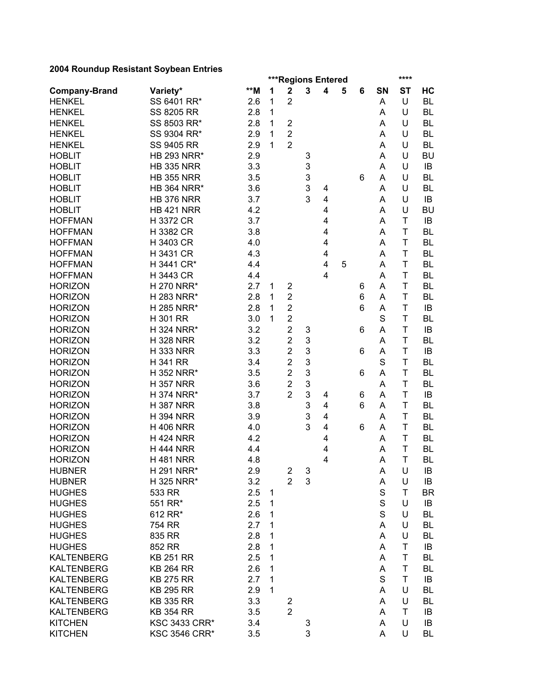| 2004 Noundap Nesistant Obybean Entries |                      |       |        |                                               |   |   |   |   |             | ****      |           |
|----------------------------------------|----------------------|-------|--------|-----------------------------------------------|---|---|---|---|-------------|-----------|-----------|
|                                        | Variety*             | $**M$ | 1      | ***Regions Entered<br>$\overline{\mathbf{2}}$ | 3 | 4 | 5 | 6 | SN          | <b>ST</b> | HC        |
| <b>Company-Brand</b><br><b>HENKEL</b>  | SS 6401 RR*          | 2.6   | 1      | $\overline{2}$                                |   |   |   |   | Α           | U         | <b>BL</b> |
| <b>HENKEL</b>                          | SS 8205 RR           | 2.8   | 1      |                                               |   |   |   |   | Α           | U         | <b>BL</b> |
| <b>HENKEL</b>                          | SS 8503 RR*          | 2.8   |        | $\overline{2}$                                |   |   |   |   |             | U         | <b>BL</b> |
| <b>HENKEL</b>                          |                      |       | 1<br>1 | $\overline{2}$                                |   |   |   |   | Α           | U         |           |
|                                        | SS 9304 RR*          | 2.9   |        |                                               |   |   |   |   | A           |           | <b>BL</b> |
| <b>HENKEL</b>                          | <b>SS 9405 RR</b>    | 2.9   | 1      | $\overline{2}$                                |   |   |   |   | A           | U         | BL        |
| <b>HOBLIT</b>                          | <b>HB 293 NRR*</b>   | 2.9   |        |                                               | 3 |   |   |   | Α           | U         | <b>BU</b> |
| <b>HOBLIT</b>                          | <b>HB 335 NRR</b>    | 3.3   |        |                                               | 3 |   |   |   | Α           | U         | IB        |
| <b>HOBLIT</b>                          | <b>HB 355 NRR</b>    | 3.5   |        |                                               | 3 |   |   | 6 | Α           | U         | BL        |
| <b>HOBLIT</b>                          | <b>HB 364 NRR*</b>   | 3.6   |        |                                               | 3 | 4 |   |   | Α           | U         | BL        |
| <b>HOBLIT</b>                          | <b>HB 376 NRR</b>    | 3.7   |        |                                               | 3 | 4 |   |   | Α           | U         | IB        |
| <b>HOBLIT</b>                          | <b>HB 421 NRR</b>    | 4.2   |        |                                               |   | 4 |   |   | A           | U         | <b>BU</b> |
| <b>HOFFMAN</b>                         | H 3372 CR            | 3.7   |        |                                               |   | 4 |   |   | A           | T         | IB        |
| <b>HOFFMAN</b>                         | H 3382 CR            | 3.8   |        |                                               |   | 4 |   |   | A           | T         | <b>BL</b> |
| <b>HOFFMAN</b>                         | H 3403 CR            | 4.0   |        |                                               |   | 4 |   |   | A           | T         | <b>BL</b> |
| <b>HOFFMAN</b>                         | H 3431 CR            | 4.3   |        |                                               |   | 4 |   |   | A           | T         | <b>BL</b> |
| <b>HOFFMAN</b>                         | H 3441 CR*           | 4.4   |        |                                               |   | 4 | 5 |   | A           | T         | <b>BL</b> |
| <b>HOFFMAN</b>                         | H 3443 CR            | 4.4   |        |                                               |   | 4 |   |   | A           | T         | <b>BL</b> |
| <b>HORIZON</b>                         | H 270 NRR*           | 2.7   | 1      | $\overline{2}$                                |   |   |   | 6 | A           | T         | <b>BL</b> |
| <b>HORIZON</b>                         | H 283 NRR*           | 2.8   | 1      | $\overline{2}$                                |   |   |   | 6 | A           | T         | <b>BL</b> |
| <b>HORIZON</b>                         | H 285 NRR*           | 2.8   | 1      | $\overline{2}$                                |   |   |   | 6 | A           | T         | IB        |
| <b>HORIZON</b>                         | H 301 RR             | 3.0   | 1      | $\overline{2}$                                |   |   |   |   | S           | T         | <b>BL</b> |
| <b>HORIZON</b>                         | H 324 NRR*           | 3.2   |        | $\overline{2}$                                | 3 |   |   | 6 | A           | T         | IB        |
| <b>HORIZON</b>                         | <b>H328 NRR</b>      | 3.2   |        | $\overline{2}$                                | 3 |   |   |   | Α           | T         | BL        |
| <b>HORIZON</b>                         | <b>H333 NRR</b>      | 3.3   |        | $\overline{2}$                                | 3 |   |   | 6 | Α           | T         | IB        |
| <b>HORIZON</b>                         | <b>H341 RR</b>       | 3.4   |        | $\overline{2}$                                | 3 |   |   |   | S           | T         | <b>BL</b> |
| <b>HORIZON</b>                         | H 352 NRR*           | 3.5   |        | $\overline{2}$                                | 3 |   |   | 6 | Α           | T         | <b>BL</b> |
| <b>HORIZON</b>                         | <b>H357 NRR</b>      | 3.6   |        | $\overline{2}$                                | 3 |   |   |   | Α           | T         | <b>BL</b> |
| <b>HORIZON</b>                         | H 374 NRR*           | 3.7   |        | $\overline{2}$                                | 3 | 4 |   | 6 | A           | T         | IB        |
| <b>HORIZON</b>                         | <b>H387 NRR</b>      | 3.8   |        |                                               | 3 | 4 |   | 6 | Α           | T         | <b>BL</b> |
| <b>HORIZON</b>                         | <b>H394 NRR</b>      | 3.9   |        |                                               | 3 | 4 |   |   | Α           | T         | <b>BL</b> |
| <b>HORIZON</b>                         | <b>H406 NRR</b>      | 4.0   |        |                                               | 3 | 4 |   | 6 | Α           | T         | <b>BL</b> |
| <b>HORIZON</b>                         | <b>H424 NRR</b>      | 4.2   |        |                                               |   | 4 |   |   | Α           | T         | <b>BL</b> |
| <b>HORIZON</b>                         | <b>H 444 NRR</b>     | 4.4   |        |                                               |   | 4 |   |   | A           | T         | <b>BL</b> |
| <b>HORIZON</b>                         | <b>H481 NRR</b>      | 4.8   |        |                                               |   | 4 |   |   | A           | T         | <b>BL</b> |
| <b>HUBNER</b>                          | H 291 NRR*           | 2.9   |        | $\overline{c}$                                | 3 |   |   |   | Α           | U         | IB        |
| <b>HUBNER</b>                          | H 325 NRR*           | 3.2   |        | $\overline{2}$                                | 3 |   |   |   | A           | U         | IB        |
| <b>HUGHES</b>                          | 533 RR               | 2.5   | 1      |                                               |   |   |   |   | S           | Τ         | <b>BR</b> |
| <b>HUGHES</b>                          | 551 RR*              | 2.5   | 1      |                                               |   |   |   |   | $\mathsf S$ | U         | IB        |
| <b>HUGHES</b>                          | 612 RR*              | 2.6   | 1      |                                               |   |   |   |   | S           | U         | <b>BL</b> |
| <b>HUGHES</b>                          | 754 RR               | 2.7   | 1      |                                               |   |   |   |   | A           | U         | <b>BL</b> |
| <b>HUGHES</b>                          | 835 RR               | 2.8   | 1      |                                               |   |   |   |   | Α           | U         | BL        |
| <b>HUGHES</b>                          | 852 RR               | 2.8   | 1      |                                               |   |   |   |   | A           | T         | IB        |
| <b>KALTENBERG</b>                      | <b>KB 251 RR</b>     | 2.5   | 1      |                                               |   |   |   |   | A           | T         | <b>BL</b> |
| <b>KALTENBERG</b>                      | <b>KB 264 RR</b>     | 2.6   | 1      |                                               |   |   |   |   | A           | Τ         | <b>BL</b> |
| <b>KALTENBERG</b>                      | <b>KB 275 RR</b>     | 2.7   | 1      |                                               |   |   |   |   | S           | T         | IB        |
| <b>KALTENBERG</b>                      | <b>KB 295 RR</b>     | 2.9   | 1      |                                               |   |   |   |   | Α           | U         | <b>BL</b> |
| <b>KALTENBERG</b>                      | <b>KB 335 RR</b>     | 3.3   |        | 2                                             |   |   |   |   | A           | U         | BL        |
| <b>KALTENBERG</b>                      | <b>KB 354 RR</b>     | 3.5   |        | $\overline{2}$                                |   |   |   |   | A           | T         | IB        |
| <b>KITCHEN</b>                         | <b>KSC 3433 CRR*</b> | 3.4   |        |                                               | 3 |   |   |   | A           | U         | IB        |
| <b>KITCHEN</b>                         | <b>KSC 3546 CRR*</b> | 3.5   |        |                                               | 3 |   |   |   | Α           | U         | BL        |
|                                        |                      |       |        |                                               |   |   |   |   |             |           |           |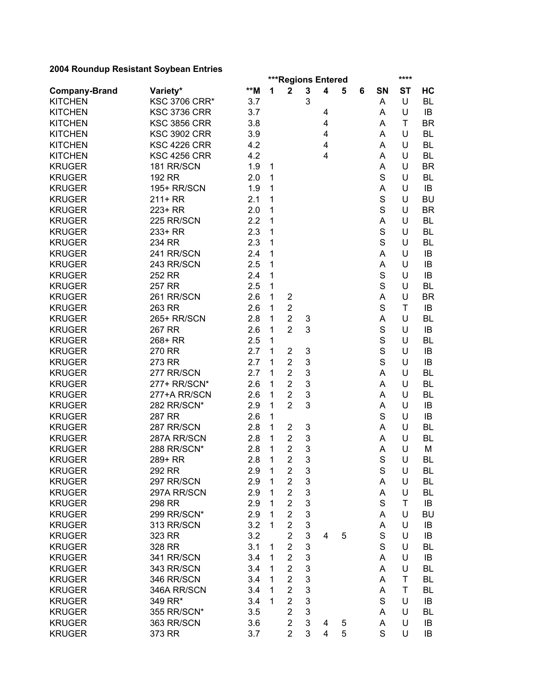| 2004 Noundap Nesistant Obybean Entries |                      |     |   | ***Regions Entered |                           |   |   |   |             | ****      |           |
|----------------------------------------|----------------------|-----|---|--------------------|---------------------------|---|---|---|-------------|-----------|-----------|
| <b>Company-Brand</b>                   | Variety*             | **M | 1 | $\mathbf 2$        | $\mathbf 3$               | 4 | 5 | 6 | SN          | <b>ST</b> | HC        |
| <b>KITCHEN</b>                         | <b>KSC 3706 CRR*</b> | 3.7 |   |                    | 3                         |   |   |   | A           | U         | BL        |
| <b>KITCHEN</b>                         | <b>KSC 3736 CRR</b>  | 3.7 |   |                    |                           | 4 |   |   | A           | U         | IB        |
| <b>KITCHEN</b>                         | <b>KSC 3856 CRR</b>  | 3.8 |   |                    |                           | 4 |   |   | A           | T         | <b>BR</b> |
| <b>KITCHEN</b>                         | <b>KSC 3902 CRR</b>  | 3.9 |   |                    |                           | 4 |   |   | A           | U         | <b>BL</b> |
| <b>KITCHEN</b>                         | <b>KSC 4226 CRR</b>  | 4.2 |   |                    |                           | 4 |   |   | A           | U         | <b>BL</b> |
| <b>KITCHEN</b>                         | <b>KSC 4256 CRR</b>  | 4.2 |   |                    |                           | 4 |   |   | A           | U         | <b>BL</b> |
| <b>KRUGER</b>                          | 181 RR/SCN           | 1.9 | 1 |                    |                           |   |   |   | A           | U         | <b>BR</b> |
| <b>KRUGER</b>                          | 192 RR               | 2.0 | 1 |                    |                           |   |   |   | $\mathbf S$ | U         | BL        |
| <b>KRUGER</b>                          | 195+ RR/SCN          | 1.9 | 1 |                    |                           |   |   |   | A           | U         | IB        |
| <b>KRUGER</b>                          | $211+RR$             | 2.1 | 1 |                    |                           |   |   |   | S           | U         | <b>BU</b> |
| <b>KRUGER</b>                          | 223+ RR              | 2.0 | 1 |                    |                           |   |   |   | S           | U         | <b>BR</b> |
| <b>KRUGER</b>                          | 225 RR/SCN           | 2.2 | 1 |                    |                           |   |   |   | A           | U         | <b>BL</b> |
| <b>KRUGER</b>                          | 233+ RR              | 2.3 | 1 |                    |                           |   |   |   | S           | U         | <b>BL</b> |
| <b>KRUGER</b>                          | 234 RR               | 2.3 | 1 |                    |                           |   |   |   | $\mathsf S$ | U         | <b>BL</b> |
| <b>KRUGER</b>                          | 241 RR/SCN           | 2.4 | 1 |                    |                           |   |   |   | A           | U         | IB        |
| <b>KRUGER</b>                          | 243 RR/SCN           | 2.5 | 1 |                    |                           |   |   |   | A           | U         | IB        |
| <b>KRUGER</b>                          | 252 RR               | 2.4 | 1 |                    |                           |   |   |   | $\mathbf S$ | U         | IB        |
| <b>KRUGER</b>                          | 257 RR               | 2.5 | 1 |                    |                           |   |   |   | $\mathsf S$ | U         | <b>BL</b> |
| <b>KRUGER</b>                          | 261 RR/SCN           | 2.6 | 1 | $\overline{2}$     |                           |   |   |   | A           | U         | <b>BR</b> |
| <b>KRUGER</b>                          | 263 RR               | 2.6 | 1 | $\overline{2}$     |                           |   |   |   | $\mathbf S$ | T         | IB        |
| <b>KRUGER</b>                          | 265+ RR/SCN          | 2.8 | 1 | $\overline{2}$     | 3                         |   |   |   | A           | U         | <b>BL</b> |
| <b>KRUGER</b>                          | 267 RR               | 2.6 | 1 | $\overline{2}$     | 3                         |   |   |   | $\mathbf S$ | U         | IB        |
| <b>KRUGER</b>                          | 268+ RR              | 2.5 | 1 |                    |                           |   |   |   | S           | U         | BL        |
| <b>KRUGER</b>                          | 270 RR               | 2.7 | 1 | $\overline{2}$     | 3                         |   |   |   | $\mathbf S$ | U         | IB        |
| <b>KRUGER</b>                          | 273 RR               | 2.7 | 1 | $\overline{2}$     | $\mathbf 3$               |   |   |   | $\mathsf S$ | U         | IB        |
| <b>KRUGER</b>                          | 277 RR/SCN           | 2.7 | 1 | $\overline{2}$     | $\mathbf 3$               |   |   |   | A           | U         | BL        |
| <b>KRUGER</b>                          | 277+ RR/SCN*         | 2.6 | 1 | $\overline{2}$     | 3                         |   |   |   | A           | U         | BL        |
| <b>KRUGER</b>                          | 277+A RR/SCN         | 2.6 | 1 | $\overline{2}$     | $\mathbf 3$               |   |   |   | A           | U         | <b>BL</b> |
| <b>KRUGER</b>                          | 282 RR/SCN*          | 2.9 | 1 | $\overline{2}$     | 3                         |   |   |   | A           | U         | IB        |
| <b>KRUGER</b>                          | 287 RR               | 2.6 | 1 |                    |                           |   |   |   | S           | U         | IB        |
| <b>KRUGER</b>                          | 287 RR/SCN           | 2.8 | 1 | $\overline{c}$     | 3                         |   |   |   | A           | U         | <b>BL</b> |
| <b>KRUGER</b>                          | 287A RR/SCN          | 2.8 | 1 | $\overline{2}$     | $\ensuremath{\mathsf{3}}$ |   |   |   | A           | U         | BL        |
| <b>KRUGER</b>                          | 288 RR/SCN*          | 2.8 | 1 | $\overline{2}$     | 3                         |   |   |   | A           | U         | M         |
| <b>KRUGER</b>                          | 289+ RR              | 2.8 | 1 | $\overline{2}$     | 3                         |   |   |   | S           | U         | <b>BL</b> |
| <b>KRUGER</b>                          | 292 RR               | 2.9 | 1 | $\overline{2}$     | 3                         |   |   |   | S           | U         | BL        |
| <b>KRUGER</b>                          | 297 RR/SCN           | 2.9 | 1 | $\overline{2}$     | $\mathbf 3$               |   |   |   | A           | U         | BL        |
| <b>KRUGER</b>                          | 297A RR/SCN          | 2.9 | 1 | $\overline{2}$     | 3                         |   |   |   | A           | U         | BL        |
| <b>KRUGER</b>                          | 298 RR               | 2.9 | 1 | $\overline{2}$     | 3                         |   |   |   | S           | Τ         | IB        |
| <b>KRUGER</b>                          | 299 RR/SCN*          | 2.9 | 1 | $\overline{2}$     | 3                         |   |   |   | A           | U         | <b>BU</b> |
| <b>KRUGER</b>                          | 313 RR/SCN           | 3.2 | 1 | $\overline{2}$     | $\mathfrak{S}$            |   |   |   | A           | U         | IB        |
| <b>KRUGER</b>                          | 323 RR               | 3.2 |   | $\overline{2}$     | 3                         | 4 | 5 |   | S           | U         | IB        |
| <b>KRUGER</b>                          | 328 RR               | 3.1 | 1 | 2                  | 3                         |   |   |   | S           | U         | BL        |
| <b>KRUGER</b>                          | 341 RR/SCN           | 3.4 | 1 | $\overline{2}$     | 3                         |   |   |   | A           | U         | IB        |
| <b>KRUGER</b>                          | 343 RR/SCN           | 3.4 | 1 | $\overline{2}$     | $\mathbf 3$               |   |   |   | A           | U         | BL        |
| <b>KRUGER</b>                          | 346 RR/SCN           | 3.4 | 1 | $\overline{2}$     | $\mathbf 3$               |   |   |   | A           | Τ         | <b>BL</b> |
| <b>KRUGER</b>                          | 346A RR/SCN          | 3.4 | 1 | $\overline{2}$     | $\mathbf 3$               |   |   |   | A           | Τ         | BL        |
| <b>KRUGER</b>                          | 349 RR*              | 3.4 | 1 | $\overline{2}$     | $\mathbf 3$               |   |   |   | S           | U         | IB        |
| <b>KRUGER</b>                          | 355 RR/SCN*          | 3.5 |   | $\overline{2}$     | $\mathbf 3$               |   |   |   | A           | U         | BL        |
| <b>KRUGER</b>                          | 363 RR/SCN           | 3.6 |   | $\overline{2}$     | $\mathfrak{B}$            | 4 | 5 |   | A           | U         | IB        |
| <b>KRUGER</b>                          | 373 RR               | 3.7 |   | $\overline{2}$     | 3                         | 4 | 5 |   | S           | U         | IB        |
|                                        |                      |     |   |                    |                           |   |   |   |             |           |           |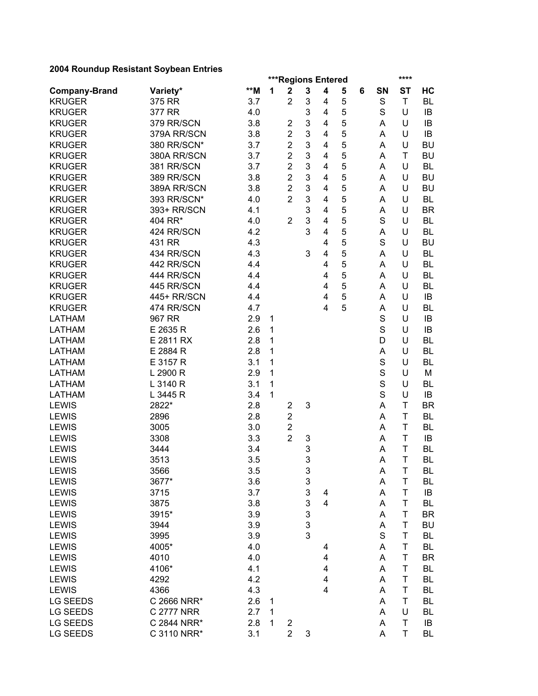| 2004 Noundap Nesistant Obybean Entries |                    |                |   |                                               |                           |                |   |   |             | ****        |           |
|----------------------------------------|--------------------|----------------|---|-----------------------------------------------|---------------------------|----------------|---|---|-------------|-------------|-----------|
| <b>Company-Brand</b>                   |                    | $\star\star$ M | 1 | ***Regions Entered<br>$\overline{\mathbf{2}}$ | 3                         | 4              | 5 | 6 | SN          | <b>ST</b>   | HC        |
| <b>KRUGER</b>                          | Variety*<br>375 RR | 3.7            |   | $\overline{2}$                                | 3                         | 4              | 5 |   | S           | T           | <b>BL</b> |
|                                        |                    |                |   |                                               |                           |                | 5 |   | S           |             |           |
| <b>KRUGER</b>                          | 377 RR             | 4.0            |   |                                               | 3                         | 4              |   |   |             | U           | IB        |
| <b>KRUGER</b>                          | 379 RR/SCN         | 3.8            |   | $\overline{2}$                                | 3                         | $\overline{4}$ | 5 |   | A           | U           | IB        |
| <b>KRUGER</b>                          | 379A RR/SCN        | 3.8            |   | $\overline{2}$                                | 3                         | $\overline{4}$ | 5 |   | A           | U           | IB        |
| <b>KRUGER</b>                          | 380 RR/SCN*        | 3.7            |   | $\overline{2}$                                | 3                         | $\overline{4}$ | 5 |   | A           | U           | <b>BU</b> |
| <b>KRUGER</b>                          | 380A RR/SCN        | 3.7            |   | $\overline{2}$                                | 3                         | $\overline{4}$ | 5 |   | A           | Τ           | <b>BU</b> |
| <b>KRUGER</b>                          | 381 RR/SCN         | 3.7            |   | $\overline{2}$                                | 3                         | $\overline{4}$ | 5 |   | A           | U           | <b>BL</b> |
| <b>KRUGER</b>                          | 389 RR/SCN         | 3.8            |   | $\overline{2}$                                | 3                         | 4              | 5 |   | A           | U           | <b>BU</b> |
| <b>KRUGER</b>                          | 389A RR/SCN        | 3.8            |   | $\overline{2}$                                | 3                         | 4              | 5 |   | A           | U           | <b>BU</b> |
| <b>KRUGER</b>                          | 393 RR/SCN*        | 4.0            |   | $\overline{2}$                                | 3                         | 4              | 5 |   | A           | U           | <b>BL</b> |
| <b>KRUGER</b>                          | 393+ RR/SCN        | 4.1            |   |                                               | 3                         | 4              | 5 |   | A           | U           | <b>BR</b> |
| <b>KRUGER</b>                          | 404 RR*            | 4.0            |   | $\overline{2}$                                | 3                         | 4              | 5 |   | S           | U           | <b>BL</b> |
| <b>KRUGER</b>                          | 424 RR/SCN         | 4.2            |   |                                               | 3                         | 4              | 5 |   | A           | U           | <b>BL</b> |
| <b>KRUGER</b>                          | 431 RR             | 4.3            |   |                                               |                           | 4              | 5 |   | S           | U           | <b>BU</b> |
| <b>KRUGER</b>                          | 434 RR/SCN         | 4.3            |   |                                               | 3                         | 4              | 5 |   | A           | U           | <b>BL</b> |
| <b>KRUGER</b>                          | 442 RR/SCN         | 4.4            |   |                                               |                           | 4              | 5 |   | A           | U           | <b>BL</b> |
| <b>KRUGER</b>                          | 444 RR/SCN         | 4.4            |   |                                               |                           | 4              | 5 |   | A           | U           | <b>BL</b> |
| <b>KRUGER</b>                          | 445 RR/SCN         | 4.4            |   |                                               |                           | 4              | 5 |   | A           | U           | <b>BL</b> |
| <b>KRUGER</b>                          | 445+ RR/SCN        | 4.4            |   |                                               |                           | $\overline{4}$ | 5 |   | A           | U           | IB        |
| <b>KRUGER</b>                          | 474 RR/SCN         | 4.7            |   |                                               |                           | $\overline{4}$ | 5 |   | A           | U           | <b>BL</b> |
| <b>LATHAM</b>                          | 967 RR             | 2.9            | 1 |                                               |                           |                |   |   | $\mathbf S$ | U           | IB        |
| <b>LATHAM</b>                          | E 2635 R           | 2.6            | 1 |                                               |                           |                |   |   | S           | U           | IB        |
| <b>LATHAM</b>                          | E 2811 RX          | 2.8            | 1 |                                               |                           |                |   |   | D           | U           | BL        |
| <b>LATHAM</b>                          | E 2884 R           | 2.8            | 1 |                                               |                           |                |   |   | A           | U           | BL        |
| <b>LATHAM</b>                          | E 3157 R           | 3.1            | 1 |                                               |                           |                |   |   | $\mathbf S$ | U           | <b>BL</b> |
| <b>LATHAM</b>                          | L 2900 R           | 2.9            | 1 |                                               |                           |                |   |   | $\mathsf S$ | U           | M         |
| <b>LATHAM</b>                          | L 3140 R           | 3.1            | 1 |                                               |                           |                |   |   | $\mathsf S$ | U           | <b>BL</b> |
| <b>LATHAM</b>                          | L 3445 R           | 3.4            | 1 |                                               |                           |                |   |   | S           | U           | IB        |
| <b>LEWIS</b>                           | 2822*              | 2.8            |   | $\overline{c}$                                | 3                         |                |   |   | A           | Τ           | <b>BR</b> |
| <b>LEWIS</b>                           | 2896               | 2.8            |   | $\overline{2}$                                |                           |                |   |   | A           | T           | <b>BL</b> |
| <b>LEWIS</b>                           | 3005               | 3.0            |   | $\overline{c}$                                |                           |                |   |   | A           | T           | <b>BL</b> |
| <b>LEWIS</b>                           | 3308               | 3.3            |   | $\overline{2}$                                | 3                         |                |   |   | A           | T           | IB        |
| <b>LEWIS</b>                           | 3444               | 3.4            |   |                                               | 3                         |                |   |   | A           | T           | BL        |
| <b>LEWIS</b>                           | 3513               | 3.5            |   |                                               | 3                         |                |   |   | A           | T           | <b>BL</b> |
| LEWIS                                  | 3566               | 3.5            |   |                                               | $\ensuremath{\mathsf{3}}$ |                |   |   | A           | Τ           | BL        |
| <b>LEWIS</b>                           | 3677*              | 3.6            |   |                                               | $\ensuremath{\mathsf{3}}$ |                |   |   | A           | T           | BL        |
| <b>LEWIS</b>                           | 3715               | 3.7            |   |                                               | $\mathfrak{S}$            | 4              |   |   | A           | Τ           | IB        |
| <b>LEWIS</b>                           | 3875               | 3.8            |   |                                               | 3                         | $\overline{4}$ |   |   | A           | Τ           | <b>BL</b> |
| <b>LEWIS</b>                           | 3915*              | 3.9            |   |                                               | $\mathsf 3$               |                |   |   | A           | Τ           | <b>BR</b> |
| <b>LEWIS</b>                           | 3944               | 3.9            |   |                                               | $\overline{3}$            |                |   |   | A           | Τ           | <b>BU</b> |
| <b>LEWIS</b>                           | 3995               | 3.9            |   |                                               | 3                         |                |   |   | $\mathbf S$ | Τ           | <b>BL</b> |
| <b>LEWIS</b>                           | 4005*              | 4.0            |   |                                               |                           | 4              |   |   | A           | Τ           | BL        |
| <b>LEWIS</b>                           | 4010               | 4.0            |   |                                               |                           | 4              |   |   | A           | Τ           | <b>BR</b> |
| <b>LEWIS</b>                           | 4106*              | 4.1            |   |                                               |                           | 4              |   |   | A           | Τ           | BL        |
| <b>LEWIS</b>                           | 4292               | 4.2            |   |                                               |                           | 4              |   |   | A           | T           | <b>BL</b> |
| <b>LEWIS</b>                           | 4366               | 4.3            |   |                                               |                           | 4              |   |   | A           | T           | <b>BL</b> |
| <b>LG SEEDS</b>                        | C 2666 NRR*        | 2.6            | 1 |                                               |                           |                |   |   | A           | T           | <b>BL</b> |
| LG SEEDS                               | C 2777 NRR         | 2.7            | 1 |                                               |                           |                |   |   | A           | U           | BL        |
| LG SEEDS                               | C 2844 NRR*        | 2.8            | 1 | $\overline{2}$                                |                           |                |   |   | A           | $\mathsf T$ | IB        |
| LG SEEDS                               | C 3110 NRR*        | 3.1            |   | $\overline{2}$                                | 3                         |                |   |   | A           | T           | BL        |
|                                        |                    |                |   |                                               |                           |                |   |   |             |             |           |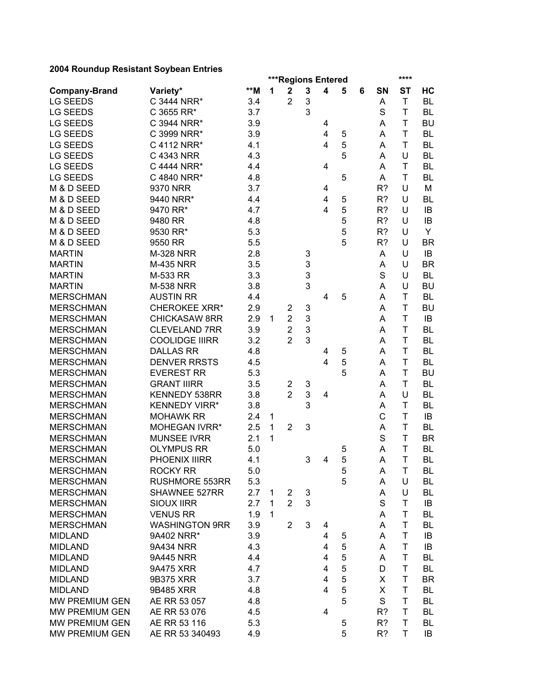|                      |                       |     |   | ***Regions Entered |                           |                |        |   |        | ****         |           |
|----------------------|-----------------------|-----|---|--------------------|---------------------------|----------------|--------|---|--------|--------------|-----------|
| <b>Company-Brand</b> | Variety*              | **M | 1 | $\mathbf 2$        | 3                         | 4              | 5      | 6 | SN     | <b>ST</b>    | HC        |
| <b>LG SEEDS</b>      | C 3444 NRR*           | 3.4 |   | $\overline{2}$     | 3                         |                |        |   | A      | $\mathsf T$  | <b>BL</b> |
| <b>LG SEEDS</b>      | C 3655 RR*            | 3.7 |   |                    | 3                         |                |        |   | S      | T            | BL        |
| <b>LG SEEDS</b>      | C 3944 NRR*           | 3.9 |   |                    |                           | 4              |        |   | A      | T            | <b>BU</b> |
| <b>LG SEEDS</b>      | C 3999 NRR*           | 3.9 |   |                    |                           | 4              | 5      |   | A      | T            | <b>BL</b> |
| <b>LG SEEDS</b>      | C 4112 NRR*           | 4.1 |   |                    |                           | $\overline{4}$ | 5      |   | A      | T            | <b>BL</b> |
| <b>LG SEEDS</b>      | C 4343 NRR            | 4.3 |   |                    |                           |                | 5      |   | Α      | U            | <b>BL</b> |
| <b>LG SEEDS</b>      | C 4444 NRR*           | 4.4 |   |                    |                           | 4              |        |   | Α      | T            | <b>BL</b> |
| <b>LG SEEDS</b>      | C 4840 NRR*           | 4.8 |   |                    |                           |                | 5      |   | A      | Τ            | <b>BL</b> |
| M & D SEED           | 9370 NRR              | 3.7 |   |                    |                           | 4              |        |   | R?     | U            | M         |
| M & D SEED           | 9440 NRR*             | 4.4 |   |                    |                           | 4              | 5      |   | R?     | U            | BL        |
| M & D SEED           | 9470 RR*              | 4.7 |   |                    |                           | 4              | 5      |   | R?     | U            | IB        |
| M & D SEED           | 9480 RR               | 4.8 |   |                    |                           |                | 5      |   | R?     | U            | IB        |
| M & D SEED           | 9530 RR*              | 5.3 |   |                    |                           |                | 5      |   | R?     | U            | Y         |
| M & D SEED           | 9550 RR               | 5.5 |   |                    |                           |                | 5      |   | R?     | U            | <b>BR</b> |
| <b>MARTIN</b>        | <b>M-328 NRR</b>      | 2.8 |   |                    | 3                         |                |        |   | A      | U            | IB        |
| <b>MARTIN</b>        | <b>M-435 NRR</b>      | 3.5 |   |                    | 3                         |                |        |   | Α      | U            | <b>BR</b> |
| <b>MARTIN</b>        | M-533 RR              | 3.3 |   |                    | 3                         |                |        |   | S      | U            | <b>BL</b> |
| <b>MARTIN</b>        | <b>M-538 NRR</b>      | 3.8 |   |                    | 3                         |                |        |   | A      | U            | <b>BU</b> |
| <b>MERSCHMAN</b>     | <b>AUSTIN RR</b>      | 4.4 |   |                    |                           | 4              | 5      |   | A      | T            | <b>BL</b> |
| <b>MERSCHMAN</b>     | <b>CHEROKEE XRR*</b>  | 2.9 |   | 2                  | 3                         |                |        |   | A      | T            | <b>BU</b> |
| <b>MERSCHMAN</b>     | <b>CHICKASAW 8RR</b>  | 2.9 | 1 | $\overline{2}$     | 3                         |                |        |   | A      | T            | IB        |
| <b>MERSCHMAN</b>     | <b>CLEVELAND 7RR</b>  | 3.9 |   | $\overline{2}$     | 3                         |                |        |   | Α      | T            | <b>BL</b> |
| <b>MERSCHMAN</b>     | <b>COOLIDGE IIIRR</b> | 3.2 |   | $\overline{2}$     | 3                         |                |        |   | Α      | T            | <b>BL</b> |
| <b>MERSCHMAN</b>     | <b>DALLAS RR</b>      | 4.8 |   |                    |                           | 4              | 5      |   | A      | T            | <b>BL</b> |
| <b>MERSCHMAN</b>     | <b>DENVER RRSTS</b>   | 4.5 |   |                    |                           | $\overline{4}$ | 5      |   | A      | T            | <b>BL</b> |
| <b>MERSCHMAN</b>     | <b>EVEREST RR</b>     | 5.3 |   |                    |                           |                | 5      |   | A      | T            | <b>BU</b> |
| <b>MERSCHMAN</b>     | <b>GRANT IIIRR</b>    | 3.5 |   | 2                  | 3                         |                |        |   | A      | T            | <b>BL</b> |
| <b>MERSCHMAN</b>     | KENNEDY 538RR         | 3.8 |   | $\overline{2}$     | 3                         | 4              |        |   | Α      | U            | <b>BL</b> |
| <b>MERSCHMAN</b>     | <b>KENNEDY VIRR*</b>  | 3.8 |   |                    | 3                         |                |        |   | A      | T            | <b>BL</b> |
| <b>MERSCHMAN</b>     | <b>MOHAWK RR</b>      | 2.4 | 1 |                    |                           |                |        |   | C      | T            | IB        |
| <b>MERSCHMAN</b>     | <b>MOHEGAN IVRR*</b>  | 2.5 | 1 | $\overline{2}$     | 3                         |                |        |   | Α      | Τ            | <b>BL</b> |
| <b>MERSCHMAN</b>     | <b>MUNSEE IVRR</b>    | 2.1 | 1 |                    |                           |                |        |   | S      | T            | <b>BR</b> |
| <b>MERSCHMAN</b>     | <b>OLYMPUS RR</b>     | 5.0 |   |                    |                           |                | 5      |   | Α      | T            | <b>BL</b> |
| <b>MERSCHMAN</b>     | PHOENIX IIIRR         | 4.1 |   |                    | 3                         | $\overline{4}$ | 5      |   | A      | T            | <b>BL</b> |
| <b>MERSCHMAN</b>     | ROCKY RR              | 5.0 |   |                    |                           |                | 5      |   | A      | $\mathsf{T}$ | BL        |
| <b>MERSCHMAN</b>     | <b>RUSHMORE 553RR</b> | 5.3 |   |                    |                           |                | 5      |   | A      | U            | BL        |
| <b>MERSCHMAN</b>     | SHAWNEE 527RR         | 2.7 | 1 | $\overline{2}$     | $\ensuremath{\mathsf{3}}$ |                |        |   | A      | U            | BL        |
| <b>MERSCHMAN</b>     | <b>SIOUX IIRR</b>     | 2.7 | 1 | $\overline{2}$     | 3                         |                |        |   | S      | T            | IB        |
| <b>MERSCHMAN</b>     | <b>VENUS RR</b>       | 1.9 | 1 |                    |                           |                |        |   | A      | T            | BL        |
| <b>MERSCHMAN</b>     | <b>WASHINGTON 9RR</b> | 3.9 |   | $\overline{2}$     | $\mathbf{3}$              | 4              |        |   | A      | Τ            | BL        |
| <b>MIDLAND</b>       | 9A402 NRR*            | 3.9 |   |                    |                           | 4              | 5      |   | A      | T            | IB        |
| <b>MIDLAND</b>       | 9A434 NRR             | 4.3 |   |                    |                           | $\overline{4}$ | 5      |   | A      | T            | IB        |
| <b>MIDLAND</b>       | 9A445 NRR             | 4.4 |   |                    |                           | 4              | 5      |   |        | T            | BL        |
| <b>MIDLAND</b>       | 9A475 XRR             | 4.7 |   |                    |                           | 4              | 5      |   | A<br>D | T            | BL        |
|                      |                       | 3.7 |   |                    |                           | 4              | 5      |   |        |              |           |
| <b>MIDLAND</b>       | 9B375 XRR             |     |   |                    |                           | 4              |        |   | X      | Τ            | <b>BR</b> |
| <b>MIDLAND</b>       | 9B485 XRR             | 4.8 |   |                    |                           |                | 5<br>5 |   | X      | Τ            | BL        |
| MW PREMIUM GEN       | AE RR 53 057          | 4.8 |   |                    |                           |                |        |   | S      | Τ            | BL        |
| MW PREMIUM GEN       | AE RR 53 076          | 4.5 |   |                    |                           | 4              |        |   | R?     | T            | <b>BL</b> |
| MW PREMIUM GEN       | AE RR 53 116          | 5.3 |   |                    |                           |                | 5      |   | R?     | T            | BL        |
| MW PREMIUM GEN       | AE RR 53 340493       | 4.9 |   |                    |                           |                | 5      |   | R?     | T            | IB        |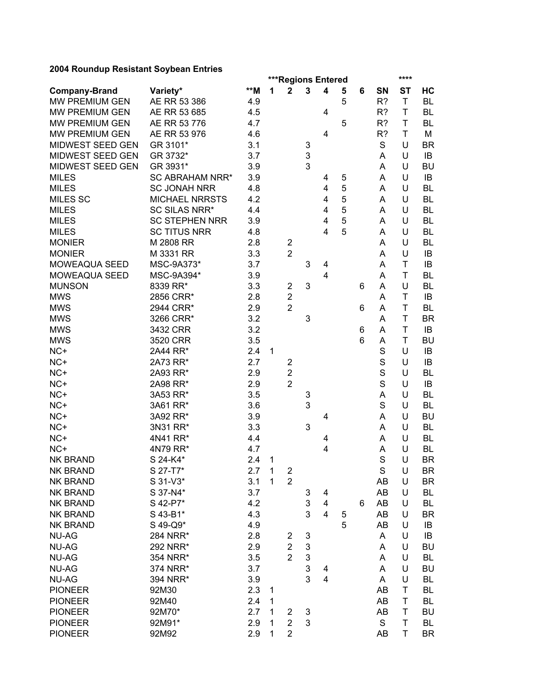|                       |                        |     |              |                         |   | <b>***Regions Entered</b> |   |   |             | ****        |           |
|-----------------------|------------------------|-----|--------------|-------------------------|---|---------------------------|---|---|-------------|-------------|-----------|
| <b>Company-Brand</b>  | Variety*               | **M | 1            | $\overline{\mathbf{2}}$ | 3 | 4                         | 5 | 6 | SN          | <b>ST</b>   | HC        |
| MW PREMIUM GEN        | AE RR 53 386           | 4.9 |              |                         |   |                           | 5 |   | R?          | $\mathsf T$ | <b>BL</b> |
| MW PREMIUM GEN        | AE RR 53 685           | 4.5 |              |                         |   | 4                         |   |   | R?          | T           | <b>BL</b> |
| MW PREMIUM GEN        | AE RR 53 776           | 4.7 |              |                         |   |                           | 5 |   | R?          | T           | <b>BL</b> |
| <b>MW PREMIUM GEN</b> | AE RR 53 976           | 4.6 |              |                         |   | 4                         |   |   | R?          | T           | M         |
| MIDWEST SEED GEN      | GR 3101*               | 3.1 |              |                         | 3 |                           |   |   | S           | U           | <b>BR</b> |
| MIDWEST SEED GEN      | GR 3732*               | 3.7 |              |                         | 3 |                           |   |   | Α           | U           | IB        |
| MIDWEST SEED GEN      | GR 3931*               | 3.9 |              |                         | 3 |                           |   |   | A           | U           | <b>BU</b> |
| <b>MILES</b>          | <b>SC ABRAHAM NRR*</b> | 3.9 |              |                         |   | 4                         | 5 |   | Α           | U           | IB        |
| <b>MILES</b>          | <b>SC JONAH NRR</b>    | 4.8 |              |                         |   | 4                         | 5 |   | Α           | U           | <b>BL</b> |
| <b>MILES SC</b>       | <b>MICHAEL NRRSTS</b>  | 4.2 |              |                         |   | 4                         | 5 |   | A           | U           | <b>BL</b> |
| <b>MILES</b>          | <b>SC SILAS NRR*</b>   | 4.4 |              |                         |   | 4                         | 5 |   | A           | U           | <b>BL</b> |
| <b>MILES</b>          | <b>SC STEPHEN NRR</b>  | 3.9 |              |                         |   | 4                         | 5 |   | A           | U           | <b>BL</b> |
| <b>MILES</b>          | <b>SC TITUS NRR</b>    | 4.8 |              |                         |   | 4                         | 5 |   | A           | U           | <b>BL</b> |
| <b>MONIER</b>         | M 2808 RR              | 2.8 |              | 2                       |   |                           |   |   | A           | U           | <b>BL</b> |
| <b>MONIER</b>         | M 3331 RR              | 3.3 |              | $\overline{2}$          |   |                           |   |   | Α           | U           | IB        |
| MOWEAQUA SEED         | MSC-9A373*             | 3.7 |              |                         | 3 | 4                         |   |   | Α           | T           | IB        |
| MOWEAQUA SEED         | MSC-9A394*             | 3.9 |              |                         |   | 4                         |   |   | A           | T           | <b>BL</b> |
| <b>MUNSON</b>         | 8339 RR*               | 3.3 |              | 2                       | 3 |                           |   | 6 | Α           | U           | <b>BL</b> |
| <b>MWS</b>            | 2856 CRR*              | 2.8 |              | $\overline{2}$          |   |                           |   |   | Α           | T           | IB        |
| <b>MWS</b>            | 2944 CRR*              | 2.9 |              | $\overline{2}$          |   |                           |   | 6 | Α           | T           | <b>BL</b> |
| <b>MWS</b>            | 3266 CRR*              | 3.2 |              |                         | 3 |                           |   |   | Α           | T           | <b>BR</b> |
| <b>MWS</b>            | 3432 CRR               | 3.2 |              |                         |   |                           |   | 6 | Α           | T           | IB        |
| <b>MWS</b>            | 3520 CRR               | 3.5 |              |                         |   |                           |   | 6 | A           | T           | <b>BU</b> |
| $NC+$                 | 2A44 RR*               | 2.4 | 1            |                         |   |                           |   |   | S           | U           | IB        |
| $NC+$                 | 2A73 RR*               | 2.7 |              | $\overline{2}$          |   |                           |   |   | S           | U           | IB        |
| $NC+$                 | 2A93 RR*               | 2.9 |              | $\overline{2}$          |   |                           |   |   | S           | U           | BL        |
| NC+                   | 2A98 RR*               | 2.9 |              | $\overline{2}$          |   |                           |   |   | S           | U           | IB        |
| $NC+$                 | 3A53 RR*               | 3.5 |              |                         | 3 |                           |   |   | A           | U           | <b>BL</b> |
| $NC+$                 | 3A61 RR*               | 3.6 |              |                         | 3 |                           |   |   | S           | U           | <b>BL</b> |
| $NC+$                 | 3A92 RR*               | 3.9 |              |                         |   | 4                         |   |   | Α           | U           | <b>BU</b> |
| $NC+$                 | 3N31 RR*               | 3.3 |              |                         | 3 |                           |   |   | Α           | U           | <b>BL</b> |
| $NC+$                 | 4N41 RR*               | 4.4 |              |                         |   | 4                         |   |   | Α           | U           | <b>BL</b> |
| NC+                   | 4N79 RR*               | 4.7 |              |                         |   | 4                         |   |   | А           | U           | <b>BL</b> |
| <b>NK BRAND</b>       | S 24-K4*               | 2.4 | $\mathbf{1}$ |                         |   |                           |   |   | S           | U           | <b>BR</b> |
| <b>NK BRAND</b>       | S 27-T7*               | 2.7 | $\mathbf{1}$ | $\overline{\mathbf{c}}$ |   |                           |   |   | $\mathsf S$ | U           | <b>BR</b> |
| <b>NK BRAND</b>       | S 31-V3*               | 3.1 | $\mathbf{1}$ | $\overline{2}$          |   |                           |   |   | AB          | U           | <b>BR</b> |
| <b>NK BRAND</b>       | S 37-N4*               | 3.7 |              |                         | 3 | 4                         |   |   | AB          | U           | BL        |
| <b>NK BRAND</b>       | S 42-P7*               | 4.2 |              |                         | 3 | $\overline{\mathbf{4}}$   |   | 6 | AB          | U           | <b>BL</b> |
| <b>NK BRAND</b>       | S 43-B1*               | 4.3 |              |                         | 3 | $\overline{4}$            | 5 |   | AB          | U           | <b>BR</b> |
| <b>NK BRAND</b>       | S 49-Q9*               | 4.9 |              |                         |   |                           | 5 |   | AB          | U           | IB        |
| <b>NU-AG</b>          | 284 NRR*               | 2.8 |              | $\overline{\mathbf{c}}$ | 3 |                           |   |   | A           | U           | IB        |
| <b>NU-AG</b>          | 292 NRR*               | 2.9 |              | $\overline{2}$          | 3 |                           |   |   | A           | U           | <b>BU</b> |
| <b>NU-AG</b>          | 354 NRR*               | 3.5 |              | $\overline{2}$          | 3 |                           |   |   | A           | U           | <b>BL</b> |
| <b>NU-AG</b>          | 374 NRR*               | 3.7 |              |                         | 3 | 4                         |   |   | A           | U           | <b>BU</b> |
| <b>NU-AG</b>          | 394 NRR*               | 3.9 |              |                         | 3 | 4                         |   |   | A           | U           | <b>BL</b> |
| <b>PIONEER</b>        | 92M30                  | 2.3 | 1            |                         |   |                           |   |   | AB          | T           | <b>BL</b> |
| <b>PIONEER</b>        | 92M40                  | 2.4 | 1            |                         |   |                           |   |   | AB          | $\mathsf T$ | <b>BL</b> |
| <b>PIONEER</b>        | 92M70*                 | 2.7 | 1            | $\overline{\mathbf{c}}$ | 3 |                           |   |   | AB          | $\mathsf T$ | <b>BU</b> |
| <b>PIONEER</b>        | 92M91*                 | 2.9 | 1            | $\overline{2}$          | 3 |                           |   |   | S           | $\mathsf T$ | <b>BL</b> |
| <b>PIONEER</b>        | 92M92                  | 2.9 | 1            | $\overline{2}$          |   |                           |   |   | AB          | $\mathsf T$ | BR        |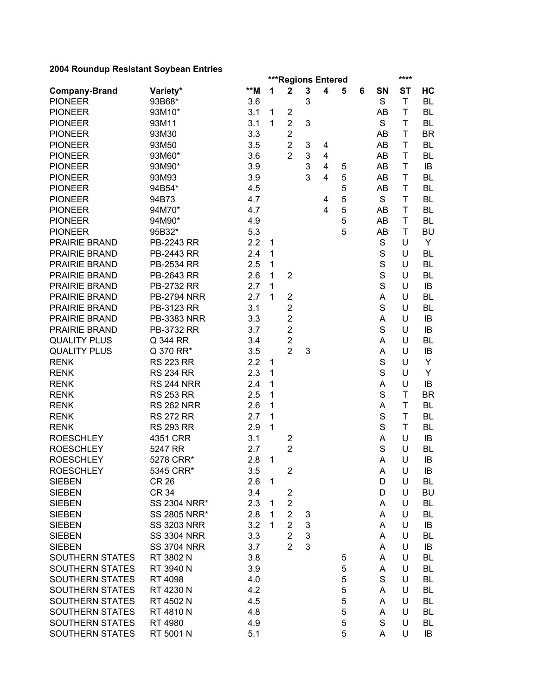|                      |                    | <b>***Regions Entered</b><br>**** |              |                         |   |                         |   |   |             |              |           |
|----------------------|--------------------|-----------------------------------|--------------|-------------------------|---|-------------------------|---|---|-------------|--------------|-----------|
| <b>Company-Brand</b> | Variety*           | **M                               | 1            | $\mathbf 2$             | 3 | $\overline{\mathbf{4}}$ | 5 | 6 | SN          | <b>ST</b>    | HC        |
| <b>PIONEER</b>       | 93B68*             | 3.6                               |              |                         | 3 |                         |   |   | S           | $\mathsf T$  | <b>BL</b> |
| <b>PIONEER</b>       | 93M10*             | 3.1                               | 1            | $\overline{c}$          |   |                         |   |   | AB          | T            | BL        |
| <b>PIONEER</b>       | 93M11              | 3.1                               | $\mathbf{1}$ | $\overline{2}$          | 3 |                         |   |   | S           | T            | BL        |
| <b>PIONEER</b>       | 93M30              | 3.3                               |              | $\overline{c}$          |   |                         |   |   | AB          | T            | <b>BR</b> |
| <b>PIONEER</b>       | 93M50              | 3.5                               |              | $\overline{2}$          | 3 | 4                       |   |   | AB          | T            | <b>BL</b> |
| <b>PIONEER</b>       | 93M60*             | 3.6                               |              | $\overline{2}$          | 3 | 4                       |   |   | AB          | T            | <b>BL</b> |
| <b>PIONEER</b>       | 93M90*             | 3.9                               |              |                         | 3 | $\overline{\mathbf{4}}$ | 5 |   | AB          | T            | IB        |
| <b>PIONEER</b>       | 93M93              | 3.9                               |              |                         | 3 | $\overline{\mathbf{4}}$ | 5 |   | AB          | Τ            | BL        |
| <b>PIONEER</b>       | 94B54*             | 4.5                               |              |                         |   |                         | 5 |   | AB          | Τ            | <b>BL</b> |
| <b>PIONEER</b>       | 94B73              | 4.7                               |              |                         |   | 4                       | 5 |   | S           | T            | BL        |
| <b>PIONEER</b>       | 94M70*             | 4.7                               |              |                         |   | 4                       | 5 |   | AB          | T            | <b>BL</b> |
| <b>PIONEER</b>       | 94M90*             | 4.9                               |              |                         |   |                         | 5 |   | AB          | Τ            | <b>BL</b> |
| <b>PIONEER</b>       | 95B32*             | 5.3                               |              |                         |   |                         | 5 |   | AB          | T            | <b>BU</b> |
| PRAIRIE BRAND        | PB-2243 RR         | 2.2                               | $\mathbf 1$  |                         |   |                         |   |   | S           | U            | Y         |
| PRAIRIE BRAND        | PB-2443 RR         | 2.4                               | $\mathbf{1}$ |                         |   |                         |   |   | S           | U            | <b>BL</b> |
| PRAIRIE BRAND        | PB-2534 RR         | 2.5                               | $\mathbf{1}$ |                         |   |                         |   |   | $\mathbf S$ | U            | <b>BL</b> |
| PRAIRIE BRAND        | PB-2643 RR         | 2.6                               | 1            | $\overline{2}$          |   |                         |   |   | $\mathbf S$ | U            | <b>BL</b> |
| PRAIRIE BRAND        | PB-2732 RR         | 2.7                               | 1            |                         |   |                         |   |   | $\mathbf S$ | U            | IB        |
| PRAIRIE BRAND        | <b>PB-2794 NRR</b> | 2.7                               | $\mathbf{1}$ | $\overline{2}$          |   |                         |   |   | A           | U            | BL        |
| PRAIRIE BRAND        | PB-3123 RR         | 3.1                               |              | $\overline{2}$          |   |                         |   |   | S           | U            | BL        |
| PRAIRIE BRAND        | <b>PB-3383 NRR</b> | 3.3                               |              | $\overline{2}$          |   |                         |   |   | A           | U            | IB        |
| PRAIRIE BRAND        | PB-3732 RR         | 3.7                               |              | $\overline{c}$          |   |                         |   |   | S           | U            | IB        |
| <b>QUALITY PLUS</b>  | Q 344 RR           | 3.4                               |              | $\overline{c}$          |   |                         |   |   | A           | U            | BL        |
| <b>QUALITY PLUS</b>  | Q 370 RR*          | 3.5                               |              | $\overline{2}$          | 3 |                         |   |   | A           | U            | IB        |
| <b>RENK</b>          | <b>RS 223 RR</b>   | 2.2                               | 1            |                         |   |                         |   |   | $\mathbf S$ | U            | Y         |
| <b>RENK</b>          | <b>RS 234 RR</b>   | 2.3                               | 1            |                         |   |                         |   |   | $\mathsf S$ | U            | Y         |
| <b>RENK</b>          | <b>RS 244 NRR</b>  | 2.4                               | 1            |                         |   |                         |   |   | A           | U            | IB        |
| <b>RENK</b>          | <b>RS 253 RR</b>   | 2.5                               | 1            |                         |   |                         |   |   | S           | T            | <b>BR</b> |
| <b>RENK</b>          | <b>RS 262 NRR</b>  | 2.6                               | 1            |                         |   |                         |   |   | A           | T            | <b>BL</b> |
| <b>RENK</b>          | <b>RS 272 RR</b>   | 2.7                               | 1            |                         |   |                         |   |   | S           | T            | <b>BL</b> |
| <b>RENK</b>          | <b>RS 293 RR</b>   | 2.9                               | 1            |                         |   |                         |   |   | S           | $\mathsf{T}$ | <b>BL</b> |
| <b>ROESCHLEY</b>     | 4351 CRR           | 3.1                               |              | $\overline{c}$          |   |                         |   |   | A           | U            | IB        |
| <b>ROESCHLEY</b>     | 5247 RR            | 2.7                               |              | $\overline{2}$          |   |                         |   |   | S           | U            | <b>BL</b> |
| <b>ROESCHLEY</b>     | 5278 CRR*          | 2.8                               | $\mathbf{1}$ |                         |   |                         |   |   | A           | U            | IB        |
| <b>ROESCHLEY</b>     | 5345 CRR*          | 3.5                               |              | $\overline{\mathbf{c}}$ |   |                         |   |   | Α           | U            | IB        |
| <b>SIEBEN</b>        | <b>CR 26</b>       | 2.6                               | 1            |                         |   |                         |   |   | D           | U            | BL        |
| <b>SIEBEN</b>        | <b>CR 34</b>       | 3.4                               |              | $\overline{c}$          |   |                         |   |   | D           | U            | BU        |
| <b>SIEBEN</b>        | SS 2304 NRR*       | 2.3                               | 1            | $\overline{2}$          |   |                         |   |   | A           | U            | BL        |
| <b>SIEBEN</b>        | SS 2805 NRR*       | 2.8                               | 1            | $\overline{2}$          | 3 |                         |   |   | A           | U            | <b>BL</b> |
| <b>SIEBEN</b>        | <b>SS 3203 NRR</b> | 3.2                               | 1            | $\overline{2}$          | 3 |                         |   |   | A           | U            | IB        |
| <b>SIEBEN</b>        | <b>SS 3304 NRR</b> | 3.3                               |              | $\overline{2}$          | 3 |                         |   |   | A           | U            | BL        |
| <b>SIEBEN</b>        | <b>SS 3704 NRR</b> | 3.7                               |              | $\overline{2}$          | 3 |                         |   |   | A           | U            | IB        |
| SOUTHERN STATES      | RT 3802 N          | 3.8                               |              |                         |   |                         | 5 |   | A           | U            | BL        |
| SOUTHERN STATES      | RT 3940 N          | 3.9                               |              |                         |   |                         | 5 |   | A           | U            | BL        |
| SOUTHERN STATES      | RT 4098            | 4.0                               |              |                         |   |                         | 5 |   | S           | U            | BL        |
| SOUTHERN STATES      | RT 4230 N          | 4.2                               |              |                         |   |                         | 5 |   | A           | U            | BL        |
| SOUTHERN STATES      | RT 4502 N          | 4.5                               |              |                         |   |                         | 5 |   | A           | U            | BL        |
| SOUTHERN STATES      | RT 4810 N          | 4.8                               |              |                         |   |                         | 5 |   | A           | U            | BL        |
| SOUTHERN STATES      | RT 4980            | 4.9                               |              |                         |   |                         | 5 |   | S           | U            | BL        |
| SOUTHERN STATES      | RT 5001 N          | 5.1                               |              |                         |   |                         | 5 |   | A           | U            | IB        |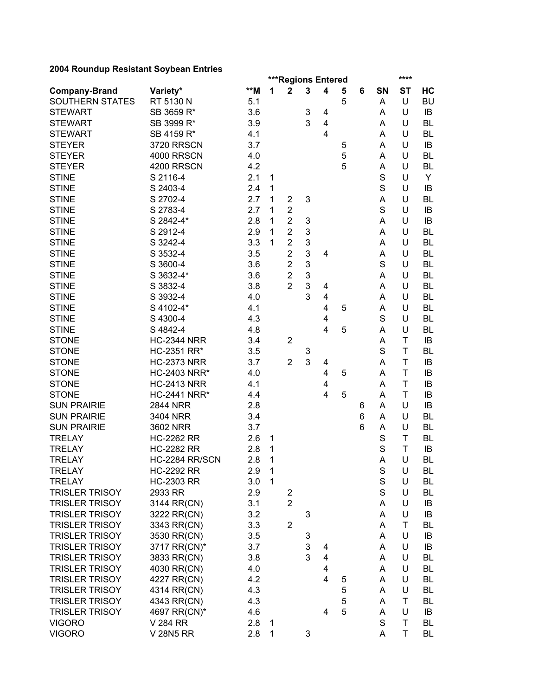| 2004 Noundap Nesistant Obybean Entries  |                          | ****<br><b>***Regions Entered</b> |              |                         |   |                         |   |   |             |             |           |
|-----------------------------------------|--------------------------|-----------------------------------|--------------|-------------------------|---|-------------------------|---|---|-------------|-------------|-----------|
|                                         |                          | $\star\star$ M                    | 1            | $\mathbf 2$             | 3 | 4                       | 5 | 6 | SN          | <b>ST</b>   | HC        |
| <b>Company-Brand</b><br>SOUTHERN STATES | Variety*<br>RT 5130 N    | 5.1                               |              |                         |   |                         | 5 |   | A           | U           | <b>BU</b> |
| <b>STEWART</b>                          | SB 3659 R*               | 3.6                               |              |                         | 3 | 4                       |   |   | A           | U           | IB        |
| <b>STEWART</b>                          | SB 3999 R*               | 3.9                               |              |                         | 3 | $\overline{\mathbf{4}}$ |   |   | A           | U           | <b>BL</b> |
| <b>STEWART</b>                          | SB 4159 R*               | 4.1                               |              |                         |   | $\overline{\mathbf{4}}$ |   |   | A           | U           | <b>BL</b> |
|                                         | <b>3720 RRSCN</b>        | 3.7                               |              |                         |   |                         |   |   |             | U           |           |
| <b>STEYER</b>                           |                          |                                   |              |                         |   |                         | 5 |   | A           |             | IB        |
| <b>STEYER</b>                           | 4000 RRSCN               | 4.0                               |              |                         |   |                         | 5 |   | A           | U           | <b>BL</b> |
| <b>STEYER</b>                           | 4200 RRSCN               | 4.2                               |              |                         |   |                         | 5 |   | A           | U           | <b>BL</b> |
| <b>STINE</b>                            | S 2116-4                 | 2.1                               | 1            |                         |   |                         |   |   | S           | U           | Y         |
| <b>STINE</b>                            | S 2403-4                 | 2.4                               | 1            |                         |   |                         |   |   | $\mathsf S$ | U           | IB        |
| <b>STINE</b>                            | S 2702-4                 | 2.7                               | 1            | $\overline{2}$          | 3 |                         |   |   | A           | U           | <b>BL</b> |
| <b>STINE</b>                            | S 2783-4                 | 2.7                               | 1            | $\overline{2}$          |   |                         |   |   | S           | U           | IB        |
| <b>STINE</b>                            | S 2842-4*                | 2.8                               | 1            | $\overline{2}$          | 3 |                         |   |   | Α           | U           | IB        |
| <b>STINE</b>                            | S 2912-4                 | 2.9                               | 1            | $\overline{2}$          | 3 |                         |   |   | Α           | U           | <b>BL</b> |
| <b>STINE</b>                            | S 3242-4                 | 3.3                               | 1            | $\overline{2}$          | 3 |                         |   |   | A           | U           | <b>BL</b> |
| <b>STINE</b>                            | S 3532-4                 | 3.5                               |              | $\overline{2}$          | 3 | 4                       |   |   | A           | U           | <b>BL</b> |
| <b>STINE</b>                            | S 3600-4                 | 3.6                               |              | $\overline{2}$          | 3 |                         |   |   | $\mathbf S$ | U           | <b>BL</b> |
| <b>STINE</b>                            | S 3632-4*                | 3.6                               |              | $\overline{2}$          | 3 |                         |   |   | A           | U           | <b>BL</b> |
| <b>STINE</b>                            | S 3832-4                 | 3.8                               |              | $\overline{2}$          | 3 | 4                       |   |   | A           | U           | <b>BL</b> |
| <b>STINE</b>                            | S 3932-4                 | 4.0                               |              |                         | 3 | $\overline{\mathbf{4}}$ |   |   | A           | U           | <b>BL</b> |
| <b>STINE</b>                            | S 4102-4*                | 4.1                               |              |                         |   | 4                       | 5 |   | A           | U           | <b>BL</b> |
| <b>STINE</b>                            | S 4300-4                 | 4.3                               |              |                         |   | 4                       |   |   | S           | U           | <b>BL</b> |
| <b>STINE</b>                            | S 4842-4                 | 4.8                               |              |                         |   | $\overline{4}$          | 5 |   | Α           | U           | <b>BL</b> |
| <b>STONE</b>                            | <b>HC-2344 NRR</b>       | 3.4                               |              | $\overline{2}$          |   |                         |   |   | A           | T           | IB        |
| <b>STONE</b>                            | HC-2351 RR*              | 3.5                               |              |                         | 3 |                         |   |   | S           | T           | BL        |
| <b>STONE</b>                            | <b>HC-2373 NRR</b>       | 3.7                               |              | $\overline{2}$          | 3 | 4                       |   |   | A           | T           | IB        |
| <b>STONE</b>                            | <b>HC-2403 NRR*</b>      | 4.0                               |              |                         |   | 4                       | 5 |   | A           | T           | IB        |
| <b>STONE</b>                            | <b>HC-2413 NRR</b>       | 4.1                               |              |                         |   | 4                       |   |   | A           | T           | IB        |
| <b>STONE</b>                            | <b>HC-2441 NRR*</b>      | 4.4                               |              |                         |   | 4                       | 5 |   | A           | Τ           | IB        |
| <b>SUN PRAIRIE</b>                      | <b>2844 NRR</b>          | 2.8                               |              |                         |   |                         |   | 6 | A           | U           | IB        |
| <b>SUN PRAIRIE</b>                      | 3404 NRR                 | 3.4                               |              |                         |   |                         |   | 6 | Α           | U           | <b>BL</b> |
| <b>SUN PRAIRIE</b>                      | 3602 NRR                 | 3.7                               |              |                         |   |                         |   | 6 | Α           | U           | <b>BL</b> |
| <b>TRELAY</b>                           | <b>HC-2262 RR</b>        | 2.6                               | 1            |                         |   |                         |   |   | S           | T           | <b>BL</b> |
| <b>TRELAY</b>                           | <b>HC-2282 RR</b>        | 2.8                               | 1            |                         |   |                         |   |   | $\mathbf S$ | T           | IB        |
| <b>TRELAY</b>                           | HC-2284 RR/SCN           | 2.8                               | 1            |                         |   |                         |   |   | A           | U           | <b>BL</b> |
| <b>TRELAY</b>                           | <b>HC-2292 RR</b>        | 2.9                               | $\mathbf{1}$ |                         |   |                         |   |   | S           | U           | BL        |
| <b>TRELAY</b>                           | <b>HC-2303 RR</b>        | 3.0                               | $\mathbf{1}$ |                         |   |                         |   |   | $\mathbf S$ | U           | BL        |
| <b>TRISLER TRISOY</b>                   | 2933 RR                  | 2.9                               |              | $\overline{\mathbf{c}}$ |   |                         |   |   | $\mathsf S$ | U           | BL        |
| <b>TRISLER TRISOY</b>                   | 3144 RR(CN)              | 3.1                               |              | $\overline{2}$          |   |                         |   |   | A           | U           | IB        |
| <b>TRISLER TRISOY</b>                   | 3222 RR(CN)              | 3.2                               |              |                         | 3 |                         |   |   | A           | U           | IB        |
| <b>TRISLER TRISOY</b>                   | 3343 RR(CN)              | 3.3                               |              | $\overline{2}$          |   |                         |   |   | A           | Τ           | BL        |
| <b>TRISLER TRISOY</b>                   | 3530 RR(CN)              | 3.5                               |              |                         | 3 |                         |   |   | A           | U           | IB        |
| <b>TRISLER TRISOY</b>                   | 3717 RR(CN)*             | 3.7                               |              |                         | 3 | 4                       |   |   | A           | U           | IB        |
| <b>TRISLER TRISOY</b>                   | 3833 RR(CN)              | 3.8                               |              |                         | 3 | 4                       |   |   | A           | U           | BL        |
| <b>TRISLER TRISOY</b>                   | 4030 RR(CN)              | 4.0                               |              |                         |   | 4                       |   |   | A           | U           | <b>BL</b> |
| <b>TRISLER TRISOY</b>                   | 4227 RR(CN)              | 4.2                               |              |                         |   | 4                       | 5 |   | A           | U           | <b>BL</b> |
| <b>TRISLER TRISOY</b>                   | 4314 RR(CN)              | 4.3                               |              |                         |   |                         | 5 |   | A           | U           | <b>BL</b> |
| <b>TRISLER TRISOY</b>                   | 4343 RR(CN)              | 4.3                               |              |                         |   |                         | 5 |   | A           | T           | BL        |
| <b>TRISLER TRISOY</b>                   |                          | 4.6                               |              |                         |   | 4                       | 5 |   | A           | U           | IB        |
| <b>VIGORO</b>                           | 4697 RR(CN)*<br>V 284 RR | 2.8                               | $\mathbf 1$  |                         |   |                         |   |   | $\mathbf S$ | $\mathsf T$ | BL        |
| <b>VIGORO</b>                           |                          | 2.8                               | 1            |                         |   |                         |   |   | Α           | T           |           |
|                                         | V 28N5 RR                |                                   |              |                         | 3 |                         |   |   |             |             | BL        |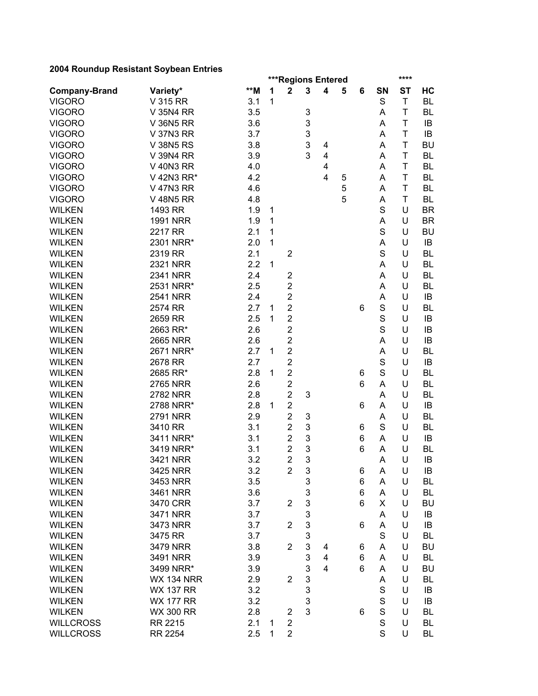| 2004 Noundap Nesistant Obybean Entries |                   |                | ****<br>***Regions Entered |                |                           |   |   |   |             |           |           |  |  |
|----------------------------------------|-------------------|----------------|----------------------------|----------------|---------------------------|---|---|---|-------------|-----------|-----------|--|--|
|                                        | Variety*          | $\star\star$ M | 1                          | $\overline{2}$ | 3                         | 4 | 5 | 6 | SN          | <b>ST</b> | HC        |  |  |
| <b>Company-Brand</b><br><b>VIGORO</b>  | V 315 RR          | 3.1            | 1                          |                |                           |   |   |   | S           | T         | <b>BL</b> |  |  |
| <b>VIGORO</b>                          | V 35N4 RR         | 3.5            |                            |                | $\ensuremath{\mathsf{3}}$ |   |   |   | Α           | T         | BL        |  |  |
| <b>VIGORO</b>                          | <b>V 36N5 RR</b>  | 3.6            |                            |                | 3                         |   |   |   |             | T         | IB        |  |  |
| <b>VIGORO</b>                          |                   |                |                            |                | 3                         |   |   |   | Α<br>A      | T         | IB        |  |  |
|                                        | <b>V 37N3 RR</b>  | 3.7            |                            |                |                           |   |   |   |             |           |           |  |  |
| <b>VIGORO</b>                          | <b>V 38N5 RS</b>  | 3.8            |                            |                | 3                         | 4 |   |   | Α           | T         | <b>BU</b> |  |  |
| <b>VIGORO</b>                          | V 39N4 RR         | 3.9            |                            |                | 3                         | 4 |   |   | Α           | T         | <b>BL</b> |  |  |
| <b>VIGORO</b>                          | <b>V 40N3 RR</b>  | 4.0            |                            |                |                           | 4 |   |   | Α           | T         | <b>BL</b> |  |  |
| <b>VIGORO</b>                          | V 42N3 RR*        | 4.2            |                            |                |                           | 4 | 5 |   | Α           | T         | <b>BL</b> |  |  |
| <b>VIGORO</b>                          | <b>V 47N3 RR</b>  | 4.6            |                            |                |                           |   | 5 |   | Α           | T         | <b>BL</b> |  |  |
| <b>VIGORO</b>                          | <b>V 48N5 RR</b>  | 4.8            |                            |                |                           |   | 5 |   | A           | T         | <b>BL</b> |  |  |
| <b>WILKEN</b>                          | 1493 RR           | 1.9            | 1                          |                |                           |   |   |   | S           | U         | <b>BR</b> |  |  |
| <b>WILKEN</b>                          | <b>1991 NRR</b>   | 1.9            | 1                          |                |                           |   |   |   | А           | U         | <b>BR</b> |  |  |
| <b>WILKEN</b>                          | 2217 RR           | 2.1            | 1                          |                |                           |   |   |   | S           | U         | <b>BU</b> |  |  |
| <b>WILKEN</b>                          | 2301 NRR*         | 2.0            | 1                          |                |                           |   |   |   | A           | U         | IB        |  |  |
| <b>WILKEN</b>                          | 2319 RR           | 2.1            |                            | $\overline{2}$ |                           |   |   |   | S           | U         | <b>BL</b> |  |  |
| <b>WILKEN</b>                          | 2321 NRR          | 2.2            | $\mathbf{1}$               |                |                           |   |   |   | A           | U         | <b>BL</b> |  |  |
| <b>WILKEN</b>                          | <b>2341 NRR</b>   | 2.4            |                            | $\overline{c}$ |                           |   |   |   | A           | U         | <b>BL</b> |  |  |
| <b>WILKEN</b>                          | 2531 NRR*         | 2.5            |                            | $\overline{c}$ |                           |   |   |   | Α           | U         | <b>BL</b> |  |  |
| <b>WILKEN</b>                          | <b>2541 NRR</b>   | 2.4            |                            | $\overline{2}$ |                           |   |   |   | А           | U         | IB        |  |  |
| <b>WILKEN</b>                          | 2574 RR           | 2.7            | 1                          | $\overline{c}$ |                           |   |   | 6 | S           | U         | BL        |  |  |
| <b>WILKEN</b>                          | 2659 RR           | 2.5            | 1                          | $\overline{2}$ |                           |   |   |   | S           | U         | IB        |  |  |
| <b>WILKEN</b>                          | 2663 RR*          | 2.6            |                            | $\overline{c}$ |                           |   |   |   | S           | U         | IB        |  |  |
| <b>WILKEN</b>                          | <b>2665 NRR</b>   | 2.6            |                            | $\overline{c}$ |                           |   |   |   | А           | U         | IB        |  |  |
| <b>WILKEN</b>                          | 2671 NRR*         | 2.7            | 1                          | $\overline{2}$ |                           |   |   |   | А           | U         | BL        |  |  |
| <b>WILKEN</b>                          | 2678 RR           | 2.7            |                            | $\overline{2}$ |                           |   |   |   | S           | U         | IB        |  |  |
| <b>WILKEN</b>                          | 2685 RR*          | 2.8            | 1                          | 2              |                           |   |   | 6 | S           | U         | BL        |  |  |
| <b>WILKEN</b>                          | <b>2765 NRR</b>   | 2.6            |                            | $\overline{2}$ |                           |   |   | 6 | Α           | U         | <b>BL</b> |  |  |
| <b>WILKEN</b>                          | <b>2782 NRR</b>   | 2.8            |                            | $\overline{2}$ | 3                         |   |   |   | Α           | U         | <b>BL</b> |  |  |
| <b>WILKEN</b>                          | 2788 NRR*         | 2.8            | 1                          | $\overline{c}$ |                           |   |   | 6 | Α           | U         | IB        |  |  |
| <b>WILKEN</b>                          | <b>2791 NRR</b>   | 2.9            |                            | $\overline{2}$ | 3                         |   |   |   | Α           | U         | <b>BL</b> |  |  |
| <b>WILKEN</b>                          | 3410 RR           | 3.1            |                            | $\overline{c}$ | 3                         |   |   | 6 | S           | U         | <b>BL</b> |  |  |
| <b>WILKEN</b>                          | 3411 NRR*         | 3.1            |                            | $\overline{2}$ | 3                         |   |   | 6 | Α           | U         | IB        |  |  |
| <b>WILKEN</b>                          | 3419 NRR*         | 3.1            |                            | $\overline{2}$ | 3                         |   |   | 6 | A           | U         | <b>BL</b> |  |  |
| <b>WILKEN</b>                          | 3421 NRR          | 3.2            |                            | $\overline{2}$ | 3                         |   |   |   | A           | U         | IB        |  |  |
| <b>WILKEN</b>                          | 3425 NRR          | 3.2            |                            | $\overline{2}$ | 3                         |   |   | 6 | A           | U         | IB        |  |  |
| <b>WILKEN</b>                          | 3453 NRR          | 3.5            |                            |                | 3                         |   |   | 6 | A           | U         | BL        |  |  |
| <b>WILKEN</b>                          | 3461 NRR          | 3.6            |                            |                | 3                         |   |   | 6 | A           | U         | <b>BL</b> |  |  |
| <b>WILKEN</b>                          | 3470 CRR          | 3.7            |                            | $\overline{c}$ | 3                         |   |   | 6 | X           | U         | BU        |  |  |
| <b>WILKEN</b>                          | 3471 NRR          | 3.7            |                            |                | 3                         |   |   |   | A           | U         | IB        |  |  |
| <b>WILKEN</b>                          | 3473 NRR          | 3.7            |                            | $\overline{2}$ | 3                         |   |   | 6 | Α           | U         | IB        |  |  |
| <b>WILKEN</b>                          | 3475 RR           | 3.7            |                            |                | 3                         |   |   |   | S           | U         | <b>BL</b> |  |  |
| <b>WILKEN</b>                          | 3479 NRR          | 3.8            |                            | $\overline{2}$ | 3                         | 4 |   | 6 | A           | U         | <b>BU</b> |  |  |
| <b>WILKEN</b>                          | 3491 NRR          | 3.9            |                            |                | $\mathbf{3}$              | 4 |   | 6 | A           | U         | <b>BL</b> |  |  |
| <b>WILKEN</b>                          | 3499 NRR*         | 3.9            |                            |                | 3                         | 4 |   | 6 | Α           | U         | <b>BU</b> |  |  |
| <b>WILKEN</b>                          | <b>WX 134 NRR</b> | 2.9            |                            | $\overline{2}$ | 3                         |   |   |   | А           | U         | <b>BL</b> |  |  |
| <b>WILKEN</b>                          | <b>WX 137 RR</b>  | 3.2            |                            |                | 3                         |   |   |   | S           | U         | IB        |  |  |
| <b>WILKEN</b>                          | <b>WX 177 RR</b>  | 3.2            |                            |                | 3                         |   |   |   | S           | U         | IB        |  |  |
| <b>WILKEN</b>                          |                   |                |                            |                | 3                         |   |   | 6 | $\mathbf S$ | U         | BL        |  |  |
|                                        | <b>WX 300 RR</b>  | 2.8            |                            | $\overline{c}$ |                           |   |   |   | $\mathbf S$ | U         |           |  |  |
| <b>WILLCROSS</b>                       | RR 2215           | 2.1            | 1                          | $\overline{2}$ |                           |   |   |   | S           |           | BL        |  |  |
| <b>WILLCROSS</b>                       | RR 2254           | 2.5            | 1                          | $\overline{2}$ |                           |   |   |   |             | U         | BL        |  |  |